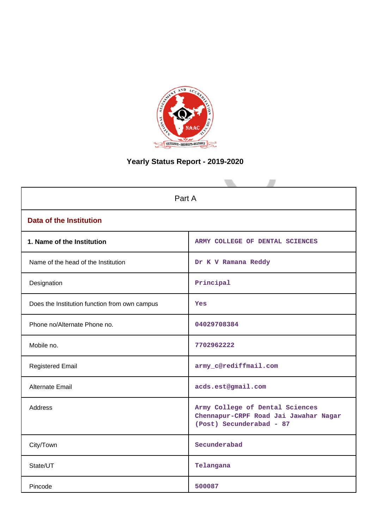

# **Yearly Status Report - 2019-2020**

| Part A                                        |                                                                                                      |  |  |  |
|-----------------------------------------------|------------------------------------------------------------------------------------------------------|--|--|--|
| <b>Data of the Institution</b>                |                                                                                                      |  |  |  |
| 1. Name of the Institution                    | ARMY COLLEGE OF DENTAL SCIENCES                                                                      |  |  |  |
| Name of the head of the Institution           | Dr K V Ramana Reddy                                                                                  |  |  |  |
| Designation                                   | Principal                                                                                            |  |  |  |
| Does the Institution function from own campus | Yes                                                                                                  |  |  |  |
| Phone no/Alternate Phone no.                  | 04029708384                                                                                          |  |  |  |
| Mobile no.                                    | 7702962222                                                                                           |  |  |  |
| <b>Registered Email</b>                       | army_c@rediffmail.com                                                                                |  |  |  |
| <b>Alternate Email</b>                        | acds.est@gmail.com                                                                                   |  |  |  |
| <b>Address</b>                                | Army College of Dental Sciences<br>Chennapur-CRPF Road Jai Jawahar Nagar<br>(Post) Secunderabad - 87 |  |  |  |
| City/Town                                     | Secunderabad                                                                                         |  |  |  |
| State/UT                                      | Telangana                                                                                            |  |  |  |
| Pincode                                       | 500087                                                                                               |  |  |  |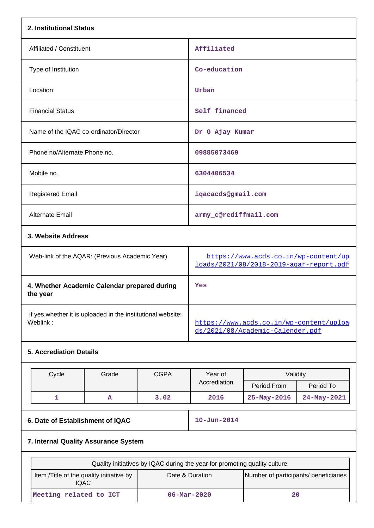| 2. Institutional Status                                                  |                                                |      |                                                                             |                                                                                 |             |  |
|--------------------------------------------------------------------------|------------------------------------------------|------|-----------------------------------------------------------------------------|---------------------------------------------------------------------------------|-------------|--|
| Affiliated / Constituent                                                 |                                                |      | Affiliated                                                                  |                                                                                 |             |  |
| Type of Institution                                                      |                                                |      |                                                                             | Co-education                                                                    |             |  |
| Location                                                                 |                                                |      | Urban                                                                       |                                                                                 |             |  |
| <b>Financial Status</b>                                                  |                                                |      | Self financed                                                               |                                                                                 |             |  |
| Name of the IQAC co-ordinator/Director                                   |                                                |      | Dr G Ajay Kumar                                                             |                                                                                 |             |  |
| Phone no/Alternate Phone no.                                             |                                                |      | 09885073469                                                                 |                                                                                 |             |  |
| Mobile no.                                                               |                                                |      | 6304406534                                                                  |                                                                                 |             |  |
| <b>Registered Email</b>                                                  |                                                |      | iqacacds@gmail.com                                                          |                                                                                 |             |  |
| Alternate Email                                                          |                                                |      |                                                                             | army_c@rediffmail.com                                                           |             |  |
| 3. Website Address                                                       |                                                |      |                                                                             |                                                                                 |             |  |
|                                                                          | Web-link of the AQAR: (Previous Academic Year) |      |                                                                             | https://www.acds.co.in/wp-content/up<br>loads/2021/08/2018-2019-agar-report.pdf |             |  |
| 4. Whether Academic Calendar prepared during<br>the year                 |                                                |      | Yes                                                                         |                                                                                 |             |  |
| if yes, whether it is uploaded in the institutional website:<br>Weblink: |                                                |      | https://www.acds.co.in/wp-content/uploa<br>ds/2021/08/Academic-Calender.pdf |                                                                                 |             |  |
| <b>5. Accrediation Details</b>                                           |                                                |      |                                                                             |                                                                                 |             |  |
| Cycle<br>Grade<br><b>CGPA</b>                                            |                                                |      | Year of                                                                     | Validity                                                                        |             |  |
|                                                                          |                                                |      | Accrediation                                                                | Period From                                                                     | Period To   |  |
| $\mathbf{1}$                                                             | A                                              | 3.02 | 2016                                                                        | 25-May-2016                                                                     | 24-May-2021 |  |
| 6. Date of Establishment of IQAC                                         |                                                |      | $10 - Jun - 2014$                                                           |                                                                                 |             |  |
| 7. Internal Quality Assurance System                                     |                                                |      |                                                                             |                                                                                 |             |  |

| Quality initiatives by IQAC during the year for promoting quality culture |                          |                                       |  |  |  |
|---------------------------------------------------------------------------|--------------------------|---------------------------------------|--|--|--|
| Item / Title of the quality initiative by<br><b>IQAC</b>                  | Date & Duration          | Number of participants/ beneficiaries |  |  |  |
| Meeting related to ICT                                                    | $06 - \text{Mar} - 2020$ | 20                                    |  |  |  |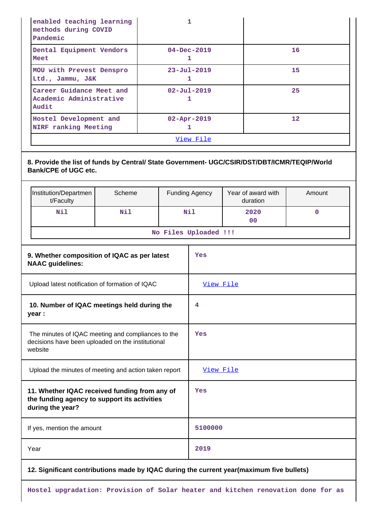| enabled teaching learning<br>methods during COVID<br>Pandemic |                        |                   |
|---------------------------------------------------------------|------------------------|-------------------|
| Dental Equipment Vendors<br>Meet                              | $04 - Dec - 2019$<br>ı | 16                |
| MOU with Prevest Denspro<br>Ltd., Jammu, J&K                  | $23 - Ju1 - 2019$      | 15                |
| Career Guidance Meet and<br>Academic Administrative<br>Audit  | $02 - Ju1 - 2019$      | 25                |
| Hostel Development and<br>NIRF ranking Meeting                | $02 - Apr - 2019$      | $12 \overline{ }$ |
|                                                               |                        |                   |

## **8. Provide the list of funds by Central/ State Government- UGC/CSIR/DST/DBT/ICMR/TEQIP/World Bank/CPE of UGC etc.**

| Institution/Departmen<br>t/Faculty | Scheme | <b>Funding Agency</b> | Year of award with<br>duration | Amount |  |  |
|------------------------------------|--------|-----------------------|--------------------------------|--------|--|--|
| Nil                                | Nil    | Nil                   | 2020<br>00                     |        |  |  |
| No Files Uploaded !!!              |        |                       |                                |        |  |  |

| 9. Whether composition of IQAC as per latest<br><b>NAAC</b> guidelines:                                            | Yes                                         |
|--------------------------------------------------------------------------------------------------------------------|---------------------------------------------|
| Upload latest notification of formation of IQAC                                                                    | View File                                   |
| 10. Number of IQAC meetings held during the<br>year :                                                              | 4                                           |
| The minutes of IQAC meeting and compliances to the<br>decisions have been uploaded on the institutional<br>website | Yes                                         |
| Upload the minutes of meeting and action taken report                                                              | View File                                   |
| 11. Whether IQAC received funding from any of<br>the funding agency to support its activities<br>during the year?  | Yes                                         |
| If yes, mention the amount                                                                                         | 5100000                                     |
| Year                                                                                                               | 2019                                        |
| فالمتواط والقصام<br>$\sim$ 10 A A $\sim$ $\sim$ $\sim$ $\sim$                                                      | at communication and three three boothings. |

## **12. Significant contributions made by IQAC during the current year(maximum five bullets)**

**Hostel upgradation: Provision of Solar heater and kitchen renovation done for as**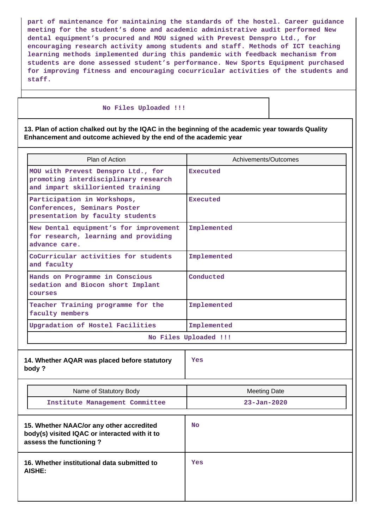**part of maintenance for maintaining the standards of the hostel. Career guidance meeting for the student's done and academic administrative audit performed New dental equipment's procured and MOU signed with Prevest Denspro Ltd., for encouraging research activity among students and staff. Methods of ICT teaching learning methods implemented during this pandemic with feedback mechanism from students are done assessed student's performance. New Sports Equipment purchased for improving fitness and encouraging cocurricular activities of the students and staff.**

#### **No Files Uploaded !!!**

**13. Plan of action chalked out by the IQAC in the beginning of the academic year towards Quality Enhancement and outcome achieved by the end of the academic year**

| Achivements/Outcomes |
|----------------------|
|                      |
|                      |
|                      |
|                      |
|                      |
|                      |
|                      |
|                      |
|                      |
|                      |
|                      |
|                      |
|                      |
|                      |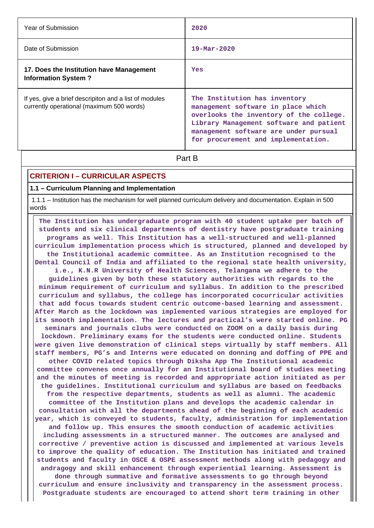| Year of Submission                                                                                  | 2020                                                                                                                                                                                                                                      |  |  |
|-----------------------------------------------------------------------------------------------------|-------------------------------------------------------------------------------------------------------------------------------------------------------------------------------------------------------------------------------------------|--|--|
| Date of Submission                                                                                  | $19 - \text{Mar} - 2020$                                                                                                                                                                                                                  |  |  |
| 17. Does the Institution have Management<br><b>Information System?</b>                              | Yes                                                                                                                                                                                                                                       |  |  |
| If yes, give a brief descripiton and a list of modules<br>currently operational (maximum 500 words) | The Institution has inventory<br>management software in place which<br>overlooks the inventory of the college.<br>Library Management software and patient<br>management software are under pursual<br>for procurement and implementation. |  |  |
| Part B                                                                                              |                                                                                                                                                                                                                                           |  |  |

## **CRITERION I – CURRICULAR ASPECTS**

#### **1.1 – Curriculum Planning and Implementation**

 1.1.1 – Institution has the mechanism for well planned curriculum delivery and documentation. Explain in 500 words

 **The Institution has undergraduate program with 40 student uptake per batch of students and six clinical departments of dentistry have postgraduate training programs as well. This Institution has a well-structured and well-planned curriculum implementation process which is structured, planned and developed by the Institutional academic committee. As an Institution recognised to the Dental Council of India and affiliated to the regional state health university, i.e., K.N.R University of Health Sciences, Telangana we adhere to the guidelines given by both these statutory authorities with regards to the minimum requirement of curriculum and syllabus. In addition to the prescribed curriculum and syllabus, the college has incorporated cocurricular activities that add focus towards student centric outcome-based learning and assessment. After March as the lockdown was implemented various strategies are employed for its smooth implementation. The lectures and practical's were started online. PG seminars and journals clubs were conducted on ZOOM on a daily basis during lockdown. Preliminary exams for the students were conducted online. Students were given live demonstration of clinical steps virtually by staff members. All staff members, PG's and Interns were educated on donning and doffing of PPE and other COVID related topics through Diksha App The Institutional academic committee convenes once annually for an Institutional board of studies meeting and the minutes of meeting is recorded and appropriate action initiated as per the guidelines. Institutional curriculum and syllabus are based on feedbacks from the respective departments, students as well as alumni. The academic committee of the Institution plans and develops the academic calendar in consultation with all the departments ahead of the beginning of each academic year, which is conveyed to students, faculty, administration for implementation and follow up. This ensures the smooth conduction of academic activities including assessments in a structured manner. The outcomes are analysed and corrective / preventive action is discussed and implemented at various levels to improve the quality of education. The Institution has initiated and trained students and faculty in OSCE & OSPE assessment methods along with pedagogy and andragogy and skill enhancement through experiential learning. Assessment is done through summative and formative assessments to go through beyond curriculum and ensure inclusivity and transparency in the assessment process. Postgraduate students are encouraged to attend short term training in other**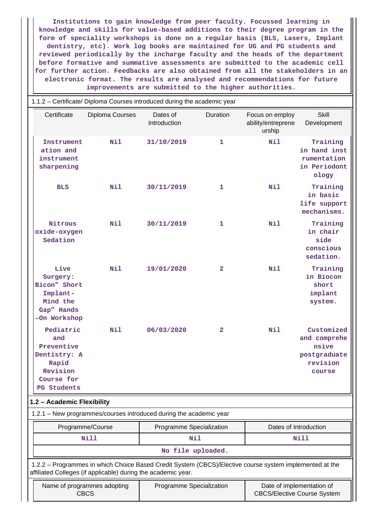**Institutions to gain knowledge from peer faculty. Focussed learning in knowledge and skills for value-based additions to their degree program in the form of speciality workshops is done on a regular basis (BLS, Lasers, Implant dentistry, etc). Work log books are maintained for UG and PG students and reviewed periodically by the incharge faculty and the heads of the department before formative and summative assessments are submitted to the academic cell for further action. Feedbacks are also obtained from all the stakeholders in an electronic format. The results are analysed and recommendations for future improvements are submitted to the higher authorities.**

|             | 1.1.2 - Certificate/ Diploma Courses introduced during the academic year                                |                                                                                                                                                                          |                          |                |                                                 |                                                                           |  |  |  |
|-------------|---------------------------------------------------------------------------------------------------------|--------------------------------------------------------------------------------------------------------------------------------------------------------------------------|--------------------------|----------------|-------------------------------------------------|---------------------------------------------------------------------------|--|--|--|
|             | Certificate                                                                                             | Diploma Courses                                                                                                                                                          | Dates of<br>Introduction | Duration       | Focus on employ<br>ability/entreprene<br>urship | <b>Skill</b><br>Development                                               |  |  |  |
|             | Instrument<br>ation and<br>instrument<br>sharpening                                                     | Nil                                                                                                                                                                      | 31/10/2019               | $\mathbf{1}$   | Nil                                             | Training<br>in hand inst<br>rumentation<br>in Periodont<br>ology          |  |  |  |
|             | <b>BLS</b>                                                                                              | Nil                                                                                                                                                                      | 30/11/2019               | 1              | Nil                                             | Training<br>in basic<br>life support<br>mechanisms.                       |  |  |  |
|             | Nitrous<br>oxide-oxygen<br>Sedation                                                                     | Nil                                                                                                                                                                      | 30/11/2019               | 1              | Nil                                             | Training<br>in chair<br>side<br>conscious<br>sedation.                    |  |  |  |
|             | Live<br>Surgery:<br>Bicon" Short<br>Implant-<br>Mind the<br>Gap" Hands<br>-On Workshop                  | Nil                                                                                                                                                                      | 19/01/2020               | $\overline{a}$ | Nil                                             | Training<br>in Biocon<br>short<br>implant<br>system.                      |  |  |  |
|             | Pediatric<br>and<br>Preventive<br>Dentistry: A<br>Rapid<br>Revision<br>Course for<br><b>PG</b> Students | Nil                                                                                                                                                                      | 06/03/2020               | $\mathbf{2}$   | Nil                                             | Customized<br>and comprehe<br>nsive<br>postgraduate<br>revision<br>course |  |  |  |
|             | 1.2 - Academic Flexibility                                                                              |                                                                                                                                                                          |                          |                |                                                 |                                                                           |  |  |  |
|             |                                                                                                         | 1.2.1 - New programmes/courses introduced during the academic year                                                                                                       |                          |                |                                                 |                                                                           |  |  |  |
|             |                                                                                                         | Programme/Course                                                                                                                                                         | Programme Specialization |                | Dates of Introduction                           |                                                                           |  |  |  |
| <b>Nill</b> |                                                                                                         |                                                                                                                                                                          | Nil<br>No file uploaded. |                |                                                 | Nill                                                                      |  |  |  |
|             |                                                                                                         | 1.2.2 - Programmes in which Choice Based Credit System (CBCS)/Elective course system implemented at the<br>affiliated Colleges (if applicable) during the academic year. |                          |                |                                                 |                                                                           |  |  |  |
|             | <b>CBCS</b>                                                                                             | Name of programmes adopting                                                                                                                                              | Programme Specialization |                | <b>CBCS/Elective Course System</b>              | Date of implementation of                                                 |  |  |  |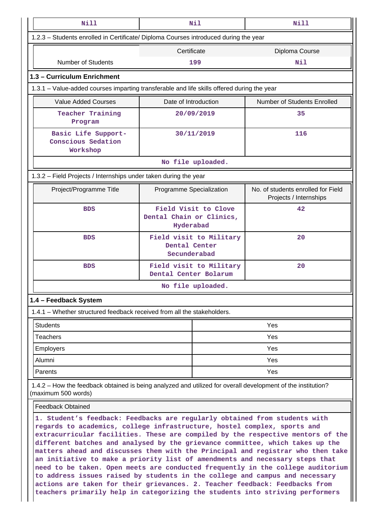| <b>Nill</b>                                                                                                                                                                                                                                                                                                                                                                                                                                                                                                                                                                                                                                                                                                                                                                                                                      |                                                                                      | Nil                     | Nill                                                         |  |
|----------------------------------------------------------------------------------------------------------------------------------------------------------------------------------------------------------------------------------------------------------------------------------------------------------------------------------------------------------------------------------------------------------------------------------------------------------------------------------------------------------------------------------------------------------------------------------------------------------------------------------------------------------------------------------------------------------------------------------------------------------------------------------------------------------------------------------|--------------------------------------------------------------------------------------|-------------------------|--------------------------------------------------------------|--|
|                                                                                                                                                                                                                                                                                                                                                                                                                                                                                                                                                                                                                                                                                                                                                                                                                                  | 1.2.3 - Students enrolled in Certificate/ Diploma Courses introduced during the year |                         |                                                              |  |
|                                                                                                                                                                                                                                                                                                                                                                                                                                                                                                                                                                                                                                                                                                                                                                                                                                  | Certificate                                                                          |                         | Diploma Course                                               |  |
| <b>Number of Students</b>                                                                                                                                                                                                                                                                                                                                                                                                                                                                                                                                                                                                                                                                                                                                                                                                        |                                                                                      | 199                     | Nil                                                          |  |
| 1.3 - Curriculum Enrichment                                                                                                                                                                                                                                                                                                                                                                                                                                                                                                                                                                                                                                                                                                                                                                                                      |                                                                                      |                         |                                                              |  |
| 1.3.1 – Value-added courses imparting transferable and life skills offered during the year                                                                                                                                                                                                                                                                                                                                                                                                                                                                                                                                                                                                                                                                                                                                       |                                                                                      |                         |                                                              |  |
| <b>Value Added Courses</b>                                                                                                                                                                                                                                                                                                                                                                                                                                                                                                                                                                                                                                                                                                                                                                                                       | Date of Introduction                                                                 |                         | <b>Number of Students Enrolled</b>                           |  |
| Teacher Training<br>Program                                                                                                                                                                                                                                                                                                                                                                                                                                                                                                                                                                                                                                                                                                                                                                                                      |                                                                                      | 20/09/2019              | 35                                                           |  |
| Basic Life Support-<br>Conscious Sedation<br>Workshop                                                                                                                                                                                                                                                                                                                                                                                                                                                                                                                                                                                                                                                                                                                                                                            |                                                                                      | 30/11/2019              | 116                                                          |  |
|                                                                                                                                                                                                                                                                                                                                                                                                                                                                                                                                                                                                                                                                                                                                                                                                                                  |                                                                                      | No file uploaded.       |                                                              |  |
| 1.3.2 – Field Projects / Internships under taken during the year                                                                                                                                                                                                                                                                                                                                                                                                                                                                                                                                                                                                                                                                                                                                                                 |                                                                                      |                         |                                                              |  |
| Project/Programme Title                                                                                                                                                                                                                                                                                                                                                                                                                                                                                                                                                                                                                                                                                                                                                                                                          | Programme Specialization                                                             |                         | No. of students enrolled for Field<br>Projects / Internships |  |
| <b>BDS</b>                                                                                                                                                                                                                                                                                                                                                                                                                                                                                                                                                                                                                                                                                                                                                                                                                       | Dental Chain or Clinics,<br>Hyderabad                                                | Field Visit to Clove    | 42                                                           |  |
| <b>BDS</b>                                                                                                                                                                                                                                                                                                                                                                                                                                                                                                                                                                                                                                                                                                                                                                                                                       | Dental Center<br>Secunderabad                                                        | Field visit to Military | 20                                                           |  |
| <b>BDS</b>                                                                                                                                                                                                                                                                                                                                                                                                                                                                                                                                                                                                                                                                                                                                                                                                                       | Dental Center Bolarum                                                                | Field visit to Military | 20                                                           |  |
|                                                                                                                                                                                                                                                                                                                                                                                                                                                                                                                                                                                                                                                                                                                                                                                                                                  |                                                                                      | No file uploaded.       |                                                              |  |
| 1.4 - Feedback System                                                                                                                                                                                                                                                                                                                                                                                                                                                                                                                                                                                                                                                                                                                                                                                                            |                                                                                      |                         |                                                              |  |
| 1.4.1 – Whether structured feedback received from all the stakeholders.                                                                                                                                                                                                                                                                                                                                                                                                                                                                                                                                                                                                                                                                                                                                                          |                                                                                      |                         |                                                              |  |
| <b>Students</b>                                                                                                                                                                                                                                                                                                                                                                                                                                                                                                                                                                                                                                                                                                                                                                                                                  |                                                                                      |                         | Yes                                                          |  |
| <b>Teachers</b>                                                                                                                                                                                                                                                                                                                                                                                                                                                                                                                                                                                                                                                                                                                                                                                                                  |                                                                                      |                         | Yes                                                          |  |
| <b>Employers</b>                                                                                                                                                                                                                                                                                                                                                                                                                                                                                                                                                                                                                                                                                                                                                                                                                 |                                                                                      |                         | Yes                                                          |  |
| Alumni                                                                                                                                                                                                                                                                                                                                                                                                                                                                                                                                                                                                                                                                                                                                                                                                                           |                                                                                      | Yes                     |                                                              |  |
| Parents                                                                                                                                                                                                                                                                                                                                                                                                                                                                                                                                                                                                                                                                                                                                                                                                                          |                                                                                      | Yes                     |                                                              |  |
| 1.4.2 – How the feedback obtained is being analyzed and utilized for overall development of the institution?<br>(maximum 500 words)                                                                                                                                                                                                                                                                                                                                                                                                                                                                                                                                                                                                                                                                                              |                                                                                      |                         |                                                              |  |
| <b>Feedback Obtained</b>                                                                                                                                                                                                                                                                                                                                                                                                                                                                                                                                                                                                                                                                                                                                                                                                         |                                                                                      |                         |                                                              |  |
| 1. Student's feedback: Feedbacks are regularly obtained from students with<br>regards to academics, college infrastructure, hostel complex, sports and<br>extracurricular facilities. These are compiled by the respective mentors of the<br>different batches and analysed by the grievance committee, which takes up the<br>matters ahead and discusses them with the Principal and registrar who then take<br>an initiative to make a priority list of amendments and necessary steps that<br>need to be taken. Open meets are conducted frequently in the college auditorium<br>to address issues raised by students in the college and campus and necessary<br>actions are taken for their grievances. 2. Teacher feedback: Feedbacks from<br>teachers primarily help in categorizing the students into striving performers |                                                                                      |                         |                                                              |  |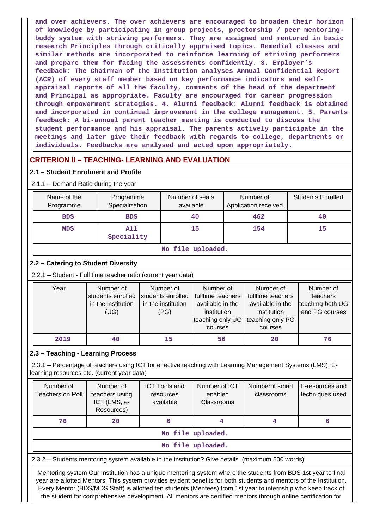**and over achievers. The over achievers are encouraged to broaden their horizon of knowledge by participating in group projects, proctorship / peer mentoringbuddy system with striving performers. They are assigned and mentored in basic research Principles through critically appraised topics. Remedial classes and similar methods are incorporated to reinforce learning of striving performers and prepare them for facing the assessments confidently. 3. Employer's feedback: The Chairman of the Institution analyses Annual Confidential Report (ACR) of every staff member based on key performance indicators and selfappraisal reports of all the faculty, comments of the head of the department and Principal as appropriate. Faculty are encouraged for career progression through empowerment strategies. 4. Alumni feedback: Alumni feedback is obtained and incorporated in continual improvement in the college management. 5. Parents feedback: A bi-annual parent teacher meeting is conducted to discuss the student performance and his appraisal. The parents actively participate in the meetings and later give their feedback with regards to college, departments or individuals. Feedbacks are analysed and acted upon appropriately.**

## **CRITERION II – TEACHING- LEARNING AND EVALUATION**

## **2.1 – Student Enrolment and Profile**

| Name of the<br>Programme                                      | Programme<br>Specialization                                  | Number of seats<br>available |                                                              |                                                                                       |  | Number of<br>Application received                                                     | <b>Students Enrolled</b>                                    |  |
|---------------------------------------------------------------|--------------------------------------------------------------|------------------------------|--------------------------------------------------------------|---------------------------------------------------------------------------------------|--|---------------------------------------------------------------------------------------|-------------------------------------------------------------|--|
| <b>BDS</b>                                                    | <b>BDS</b>                                                   |                              |                                                              | 40                                                                                    |  | 462                                                                                   | 40                                                          |  |
| <b>MDS</b>                                                    | All<br>Speciality                                            |                              |                                                              | 15                                                                                    |  | 154                                                                                   | 15                                                          |  |
| No file uploaded.                                             |                                                              |                              |                                                              |                                                                                       |  |                                                                                       |                                                             |  |
| 2.2 - Catering to Student Diversity                           |                                                              |                              |                                                              |                                                                                       |  |                                                                                       |                                                             |  |
| 2.2.1 - Student - Full time teacher ratio (current year data) |                                                              |                              |                                                              |                                                                                       |  |                                                                                       |                                                             |  |
| Year                                                          | Number of<br>students enrolled<br>in the institution<br>(UG) |                              | Number of<br>students enrolled<br>in the institution<br>(PG) | Number of<br>fulltime teachers<br>available in the<br>institution<br>teaching only UG |  | Number of<br>fulltime teachers<br>available in the<br>institution<br>teaching only PG | Number of<br>teachers<br>teaching both UG<br>and PG courses |  |

courses

courses

# **2019 40 15 56 20 76**

## **2.3 – Teaching - Learning Process**

 2.3.1 – Percentage of teachers using ICT for effective teaching with Learning Management Systems (LMS), Elearning resources etc. (current year data)

| Number of<br>Teachers on Roll | Number of<br>teachers using<br>ICT (LMS, e-<br>Resources) | <b>ICT Tools and</b><br>resources<br>available | Number of ICT<br>enabled<br>Classrooms | Numberof smart<br>classrooms | E-resources and<br>techniques used |  |  |  |  |
|-------------------------------|-----------------------------------------------------------|------------------------------------------------|----------------------------------------|------------------------------|------------------------------------|--|--|--|--|
| 76                            | 20                                                        | 6                                              |                                        |                              |                                    |  |  |  |  |
|                               | No file uploaded.                                         |                                                |                                        |                              |                                    |  |  |  |  |
|                               | No file uploaded.                                         |                                                |                                        |                              |                                    |  |  |  |  |

2.3.2 – Students mentoring system available in the institution? Give details. (maximum 500 words)

 Mentoring system Our Institution has a unique mentoring system where the students from BDS 1st year to final year are allotted Mentors. This system provides evident benefits for both students and mentors of the Institution. Every Mentor (BDS/MDS Staff) is allotted ten students (Mentees) from 1st year to internship who keep track of the student for comprehensive development. All mentors are certified mentors through online certification for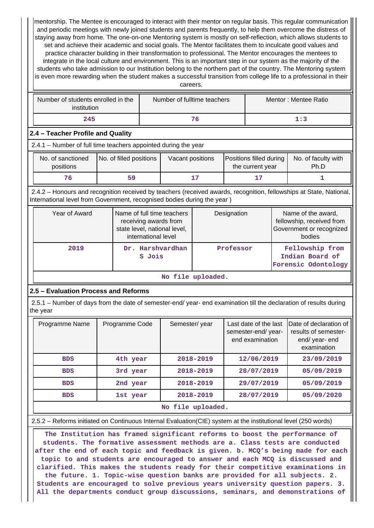mentorship. The Mentee is encouraged to interact with their mentor on regular basis. This regular communication and periodic meetings with newly joined students and parents frequently, to help them overcome the distress of staying away from home. The one-on-one Mentoring system is mostly on self-reflection, which allows students to set and achieve their academic and social goals. The Mentor facilitates them to inculcate good values and practice character building in their transformation to professional. The Mentor encourages the mentees to integrate in the local culture and environment. This is an important step in our system as the majority of the students who take admission to our Institution belong to the northern part of the country. The Mentoring system is even more rewarding when the student makes a successful transition from college life to a professional in their careers.

| Number of students enrolled in the<br>institution | Number of fulltime teachers | Mentor: Mentee Ratio |
|---------------------------------------------------|-----------------------------|----------------------|
| 245                                               |                             | 1:3                  |

## **2.4 – Teacher Profile and Quality**

2.4.1 – Number of full time teachers appointed during the year

| No. of sanctioned | No. of filled positions |    | Positions filled during | No. of faculty with |
|-------------------|-------------------------|----|-------------------------|---------------------|
| positions         |                         |    | the current year        | Ph.D                |
| 76                |                         | 17 |                         |                     |

 2.4.2 – Honours and recognition received by teachers (received awards, recognition, fellowships at State, National, International level from Government, recognised bodies during the year )

| Year of Award     | Name of full time teachers<br>receiving awards from<br>state level, national level,<br>international level | Designation | Name of the award,<br>fellowship, received from<br>Government or recognized<br>bodies |  |  |  |
|-------------------|------------------------------------------------------------------------------------------------------------|-------------|---------------------------------------------------------------------------------------|--|--|--|
| 2019              | Dr. Harshvardhan<br>S Jois                                                                                 | Professor   | Fellowship from<br>Indian Board of<br>Forensic Odontology                             |  |  |  |
| No file uploaded. |                                                                                                            |             |                                                                                       |  |  |  |

## **2.5 – Evaluation Process and Reforms**

 2.5.1 – Number of days from the date of semester-end/ year- end examination till the declaration of results during the year

| Programme Name | Programme Code | Semester/year     | Last date of the last<br>semester-end/year-<br>end examination | IDate of declaration of<br>results of semester-<br>end/year-end<br>examination |
|----------------|----------------|-------------------|----------------------------------------------------------------|--------------------------------------------------------------------------------|
| <b>BDS</b>     | 4th year       | 2018-2019         | 12/06/2019                                                     | 23/09/2019                                                                     |
| <b>BDS</b>     | 3rd year       | 2018-2019         | 28/07/2019                                                     | 05/09/2019                                                                     |
| <b>BDS</b>     | 2nd year       | 2018-2019         | 29/07/2019                                                     | 05/09/2019                                                                     |
| <b>BDS</b>     | 1st year       | 2018-2019         | 28/07/2019                                                     | 05/09/2020                                                                     |
|                |                | No file uploaded. |                                                                |                                                                                |

### 2.5.2 – Reforms initiated on Continuous Internal Evaluation(CIE) system at the institutional level (250 words)

 **The Institution has framed significant reforms to boost the performance of students. The formative assessment methods are a. Class tests are conducted after the end of each topic and feedback is given. b. MCQ's being made for each topic to and students are encouraged to answer and each MCQ is discussed and clarified. This makes the students ready for their competitive examinations in the future. 1. Topic-wise question banks are provided for all subjects. 2. Students are encouraged to solve previous years university question papers. 3. All the departments conduct group discussions, seminars, and demonstrations of**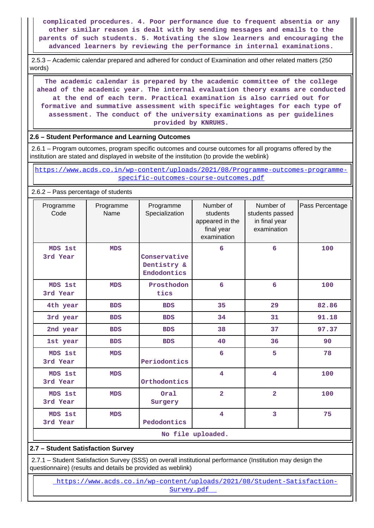**complicated procedures. 4. Poor performance due to frequent absentia or any other similar reason is dealt with by sending messages and emails to the parents of such students. 5. Motivating the slow learners and encouraging the advanced learners by reviewing the performance in internal examinations.**

 2.5.3 – Academic calendar prepared and adhered for conduct of Examination and other related matters (250 words)

 **The academic calendar is prepared by the academic committee of the college ahead of the academic year. The internal evaluation theory exams are conducted at the end of each term. Practical examination is also carried out for formative and summative assessment with specific weightages for each type of assessment. The conduct of the university examinations as per guidelines provided by KNRUHS.**

## **2.6 – Student Performance and Learning Outcomes**

 2.6.1 – Program outcomes, program specific outcomes and course outcomes for all programs offered by the institution are stated and displayed in website of the institution (to provide the weblink)

 [https://www.acds.co.in/wp-content/uploads/2021/08/Programme-outcomes-programme](https://www.acds.co.in/wp-content/uploads/2021/08/Programme-outcomes-programme-specific-outcomes-course-outcomes.pdf)[specific-outcomes-course-outcomes.pdf](https://www.acds.co.in/wp-content/uploads/2021/08/Programme-outcomes-programme-specific-outcomes-course-outcomes.pdf)

2.6.2 – Pass percentage of students

| Programme<br>Code   | Programme<br>Name | Programme<br>Specialization                | Number of<br>students<br>appeared in the<br>final year<br>examination | Number of<br>students passed<br>in final year<br>examination | Pass Percentage |
|---------------------|-------------------|--------------------------------------------|-----------------------------------------------------------------------|--------------------------------------------------------------|-----------------|
| MDS 1st<br>3rd Year | <b>MDS</b>        | Conservative<br>Dentistry &<br>Endodontics | 6                                                                     | 6                                                            | 100             |
| MDS 1st<br>3rd Year | <b>MDS</b>        | Prosthodon<br>tics                         | $6\overline{6}$                                                       | $6\overline{6}$                                              | 100             |
| 4th year            | <b>BDS</b>        | <b>BDS</b>                                 | 35                                                                    | 29                                                           | 82.86           |
| 3rd year            | <b>BDS</b>        | <b>BDS</b>                                 | 34                                                                    | 31                                                           | 91.18           |
| 2nd year            | <b>BDS</b>        | <b>BDS</b>                                 | 38                                                                    | 37                                                           | 97.37           |
| 1st year            | <b>BDS</b>        | <b>BDS</b>                                 | 40                                                                    | 36                                                           | 90              |
| MDS 1st<br>3rd Year | <b>MDS</b>        | Periodontics                               | 6                                                                     | 5                                                            | 78              |
| MDS 1st<br>3rd Year | <b>MDS</b>        | Orthodontics                               | $\overline{\mathbf{4}}$                                               | $\overline{\mathbf{4}}$                                      | 100             |
| MDS 1st<br>3rd Year | <b>MDS</b>        | Oral<br>Surgery                            | $\overline{2}$                                                        | $\overline{2}$                                               | 100             |
| MDS 1st<br>3rd Year | <b>MDS</b>        | Pedodontics                                | 4                                                                     | 3                                                            | 75              |
|                     |                   |                                            | No file uploaded.                                                     |                                                              |                 |

## **2.7 – Student Satisfaction Survey**

 2.7.1 – Student Satisfaction Survey (SSS) on overall institutional performance (Institution may design the questionnaire) (results and details be provided as weblink)

 [https://www.acds.co.in/wp-content/uploads/2021/08/Student-Satisfaction-](https://www.acds.co.in/wp-content/uploads/2021/08/Student-Satisfaction-Survey.pdf)[Survey.pdf](https://www.acds.co.in/wp-content/uploads/2021/08/Student-Satisfaction-Survey.pdf)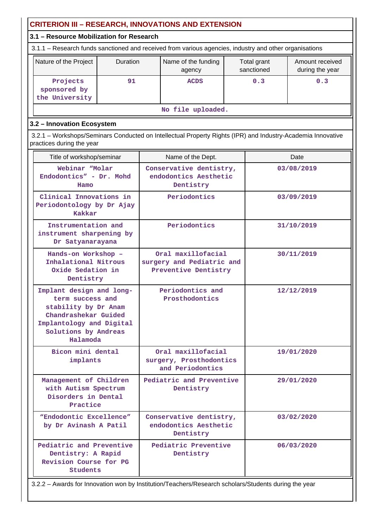| <b>CRITERION III - RESEARCH, INNOVATIONS AND EXTENSION</b>                                                                                                                                                       |                                                                                                      |                                                                         |                                                                   |            |  |                                    |  |  |
|------------------------------------------------------------------------------------------------------------------------------------------------------------------------------------------------------------------|------------------------------------------------------------------------------------------------------|-------------------------------------------------------------------------|-------------------------------------------------------------------|------------|--|------------------------------------|--|--|
| 3.1 - Resource Mobilization for Research                                                                                                                                                                         |                                                                                                      |                                                                         |                                                                   |            |  |                                    |  |  |
| 3.1.1 – Research funds sanctioned and received from various agencies, industry and other organisations                                                                                                           |                                                                                                      |                                                                         |                                                                   |            |  |                                    |  |  |
| Nature of the Project                                                                                                                                                                                            | Duration                                                                                             | Name of the funding<br>Total grant<br>sanctioned<br>agency              |                                                                   |            |  | Amount received<br>during the year |  |  |
| Projects<br>sponsored by<br>the University                                                                                                                                                                       | 91                                                                                                   | 0.3<br>0.3<br><b>ACDS</b>                                               |                                                                   |            |  |                                    |  |  |
| No file uploaded.                                                                                                                                                                                                |                                                                                                      |                                                                         |                                                                   |            |  |                                    |  |  |
| 3.2 - Innovation Ecosystem                                                                                                                                                                                       |                                                                                                      |                                                                         |                                                                   |            |  |                                    |  |  |
| 3.2.1 – Workshops/Seminars Conducted on Intellectual Property Rights (IPR) and Industry-Academia Innovative<br>practices during the year                                                                         |                                                                                                      |                                                                         |                                                                   |            |  |                                    |  |  |
| Title of workshop/seminar                                                                                                                                                                                        |                                                                                                      |                                                                         | Name of the Dept.                                                 |            |  | Date                               |  |  |
| Webinar "Molar<br>Endodontics" - Dr. Mohd<br>Hamo                                                                                                                                                                |                                                                                                      |                                                                         | Conservative dentistry,<br>endodontics Aesthetic<br>Dentistry     |            |  | 03/08/2019                         |  |  |
| Clinical Innovations in<br>Periodontology by Dr Ajay<br><b>Kakkar</b>                                                                                                                                            |                                                                                                      |                                                                         | Periodontics                                                      |            |  | 03/09/2019                         |  |  |
| Instrumentation and<br>instrument sharpening by<br>Dr Satyanarayana                                                                                                                                              |                                                                                                      | Periodontics                                                            |                                                                   | 31/10/2019 |  |                                    |  |  |
| Hands-on Workshop -<br>Inhalational Nitrous<br>Oxide Sedation in<br>Dentistry                                                                                                                                    |                                                                                                      | Oral maxillofacial<br>surgery and Pediatric and<br>Preventive Dentistry |                                                                   | 30/11/2019 |  |                                    |  |  |
| Implant design and long-<br>Periodontics and<br>12/12/2019<br>Prosthodontics<br>term success and<br>stability by Dr Anam<br>Chandrashekar Guided<br>Implantology and Digital<br>Solutions by Andreas<br>Halamoda |                                                                                                      |                                                                         |                                                                   |            |  |                                    |  |  |
| Bicon mini dental<br>implants                                                                                                                                                                                    |                                                                                                      |                                                                         | Oral maxillofacial<br>surgery, Prosthodontics<br>and Periodontics |            |  | 19/01/2020                         |  |  |
| Management of Children<br>with Autism Spectrum<br>Disorders in Dental<br>Practice                                                                                                                                |                                                                                                      | Pediatric and Preventive<br>Dentistry                                   |                                                                   | 29/01/2020 |  |                                    |  |  |
| "Endodontic Excellence"<br>by Dr Avinash A Patil                                                                                                                                                                 |                                                                                                      |                                                                         | Conservative dentistry,<br>endodontics Aesthetic<br>Dentistry     |            |  | 03/02/2020                         |  |  |
| Pediatric and Preventive<br>Dentistry: A Rapid<br>Revision Course for PG<br>Students                                                                                                                             |                                                                                                      |                                                                         | Pediatric Preventive<br>Dentistry                                 |            |  | 06/03/2020                         |  |  |
|                                                                                                                                                                                                                  | 3.2.2 - Awards for Innovation won by Institution/Teachers/Research scholars/Students during the year |                                                                         |                                                                   |            |  |                                    |  |  |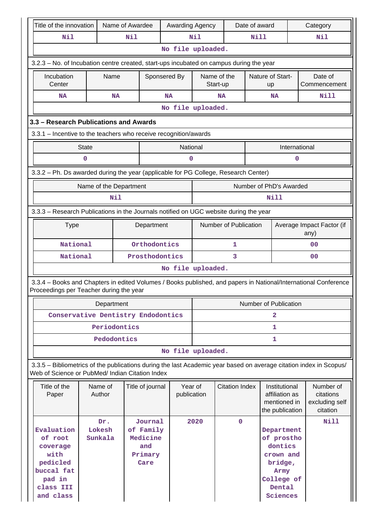|                                           | Title of the innovation                                                                                                                                               |                          | Name of Awardee |                                                            | Awarding Agency        |      |                         | Date of award |                                                                                                         |   | Category                                             |
|-------------------------------------------|-----------------------------------------------------------------------------------------------------------------------------------------------------------------------|--------------------------|-----------------|------------------------------------------------------------|------------------------|------|-------------------------|---------------|---------------------------------------------------------------------------------------------------------|---|------------------------------------------------------|
|                                           | Nil                                                                                                                                                                   |                          | Nil             |                                                            |                        | Nil  |                         | Nill          |                                                                                                         |   | Nil                                                  |
|                                           |                                                                                                                                                                       |                          |                 |                                                            | No file uploaded.      |      |                         |               |                                                                                                         |   |                                                      |
|                                           | 3.2.3 - No. of Incubation centre created, start-ups incubated on campus during the year                                                                               |                          |                 |                                                            |                        |      |                         |               |                                                                                                         |   |                                                      |
|                                           | Incubation<br>Center                                                                                                                                                  | Name                     |                 | Sponsered By                                               |                        |      | Name of the<br>Start-up |               | <b>Nature of Start-</b><br>up                                                                           |   | Date of<br>Commencement                              |
|                                           | <b>NA</b>                                                                                                                                                             |                          | <b>NA</b>       |                                                            | <b>NA</b>              |      | <b>NA</b>               |               | <b>NA</b>                                                                                               |   | <b>Nill</b>                                          |
|                                           | No file uploaded.                                                                                                                                                     |                          |                 |                                                            |                        |      |                         |               |                                                                                                         |   |                                                      |
|                                           | 3.3 - Research Publications and Awards                                                                                                                                |                          |                 |                                                            |                        |      |                         |               |                                                                                                         |   |                                                      |
|                                           | 3.3.1 - Incentive to the teachers who receive recognition/awards                                                                                                      |                          |                 |                                                            |                        |      |                         |               |                                                                                                         |   |                                                      |
| National<br><b>State</b><br>International |                                                                                                                                                                       |                          |                 |                                                            |                        |      |                         |               |                                                                                                         |   |                                                      |
|                                           |                                                                                                                                                                       | 0                        |                 |                                                            | 0                      |      |                         |               |                                                                                                         | 0 |                                                      |
|                                           | 3.3.2 - Ph. Ds awarded during the year (applicable for PG College, Research Center)                                                                                   |                          |                 |                                                            |                        |      |                         |               |                                                                                                         |   |                                                      |
|                                           |                                                                                                                                                                       | Name of the Department   |                 |                                                            |                        |      |                         |               | Number of PhD's Awarded                                                                                 |   |                                                      |
|                                           |                                                                                                                                                                       |                          | Nil             |                                                            |                        |      |                         |               | Nill                                                                                                    |   |                                                      |
|                                           |                                                                                                                                                                       |                          |                 |                                                            |                        |      |                         |               |                                                                                                         |   |                                                      |
|                                           | 3.3.3 - Research Publications in the Journals notified on UGC website during the year                                                                                 |                          |                 |                                                            |                        |      |                         |               |                                                                                                         |   |                                                      |
|                                           | <b>Type</b>                                                                                                                                                           |                          |                 | Department                                                 |                        |      | Number of Publication   |               |                                                                                                         |   | Average Impact Factor (if<br>any)                    |
|                                           | National                                                                                                                                                              |                          |                 | Orthodontics                                               |                        |      | 1                       |               |                                                                                                         |   | 00                                                   |
|                                           | National                                                                                                                                                              |                          |                 | Prosthodontics                                             |                        |      | 3                       |               |                                                                                                         |   | 0 <sub>0</sub>                                       |
|                                           |                                                                                                                                                                       |                          |                 |                                                            | No file uploaded.      |      |                         |               |                                                                                                         |   |                                                      |
|                                           | 3.3.4 - Books and Chapters in edited Volumes / Books published, and papers in National/International Conference<br>Proceedings per Teacher during the year            |                          |                 |                                                            |                        |      |                         |               |                                                                                                         |   |                                                      |
|                                           |                                                                                                                                                                       | Department               |                 |                                                            |                        |      |                         |               | Number of Publication                                                                                   |   |                                                      |
|                                           | Conservative Dentistry Endodontics                                                                                                                                    |                          |                 |                                                            |                        | 2    |                         |               |                                                                                                         |   |                                                      |
|                                           |                                                                                                                                                                       |                          | Periodontics    |                                                            |                        | 1    |                         |               |                                                                                                         |   |                                                      |
|                                           |                                                                                                                                                                       |                          | Pedodontics     |                                                            |                        |      |                         |               | 1                                                                                                       |   |                                                      |
|                                           |                                                                                                                                                                       |                          |                 |                                                            | No file uploaded.      |      |                         |               |                                                                                                         |   |                                                      |
|                                           | 3.3.5 - Bibliometrics of the publications during the last Academic year based on average citation index in Scopus/<br>Web of Science or PubMed/ Indian Citation Index |                          |                 |                                                            |                        |      |                         |               |                                                                                                         |   |                                                      |
|                                           | Title of the<br>Paper                                                                                                                                                 | Name of<br>Author        |                 | Title of journal                                           | Year of<br>publication |      | <b>Citation Index</b>   |               | Institutional<br>affiliation as<br>mentioned in<br>the publication                                      |   | Number of<br>citations<br>excluding self<br>citation |
|                                           | Evaluation<br>of root<br>coverage<br>with<br>pedicled<br>buccal fat<br>pad in<br>class III<br>and class                                                               | Dr.<br>Lokesh<br>Sunkala |                 | Journal<br>of Family<br>Medicine<br>and<br>Primary<br>Care |                        | 2020 | $\mathbf 0$             |               | Department<br>of prostho<br>dontics<br>crown and<br>bridge,<br>Army<br>College of<br>Dental<br>Sciences |   | Nill                                                 |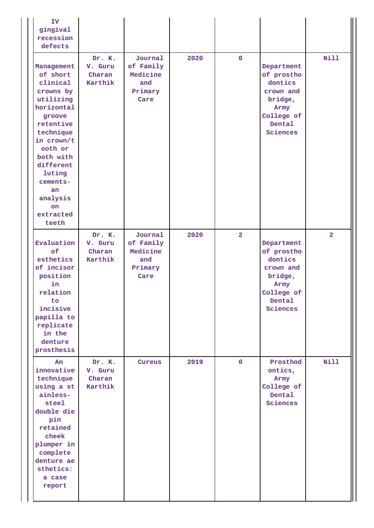| IV<br>gingival<br>recession<br>defects                                                                                                                                                                                                        |                                        |                                                            |      |                |                                                                                                         |                |
|-----------------------------------------------------------------------------------------------------------------------------------------------------------------------------------------------------------------------------------------------|----------------------------------------|------------------------------------------------------------|------|----------------|---------------------------------------------------------------------------------------------------------|----------------|
| Management<br>of short<br>clinical<br>crowns by<br>utilizing<br>horizontal<br>groove<br>retentive<br>technique<br>in crown/t<br>ooth or<br>both with<br>different<br>luting<br>cements-<br>an.<br>analysis<br><b>on</b><br>extracted<br>teeth | Dr. K.<br>V. Guru<br>Charan<br>Karthik | Journal<br>of Family<br>Medicine<br>and<br>Primary<br>Care | 2020 | $\mathbf 0$    | Department<br>of prostho<br>dontics<br>crown and<br>bridge,<br>Army<br>College of<br>Dental<br>Sciences | <b>Nill</b>    |
| Evaluation<br>of<br>esthetics<br>of incisor<br>position<br>in<br>relation<br>to<br>incisive<br>papilla to<br>replicate<br>in the<br>denture<br>prosthesis                                                                                     | Dr. K.<br>V. Guru<br>Charan<br>Karthik | Journal<br>of Family<br>Medicine<br>and<br>Primary<br>Care | 2020 | $\overline{2}$ | Department<br>of prostho<br>dontics<br>crown and<br>bridge,<br>Army<br>College of<br>Dental<br>Sciences | 2 <sup>1</sup> |
| An<br>innovative<br>technique<br>using a st<br>ainless-<br>steel<br>double die<br>pin<br>retained<br>cheek<br>plumper in<br>complete<br>denture ae<br>sthetics:<br>a case<br>report                                                           | Dr. K.<br>V. Guru<br>Charan<br>Karthik | Cureus                                                     | 2019 | $\mathbf{0}$   | Prosthod<br>ontics,<br>Army<br>College of<br>Dental<br>Sciences                                         | <b>Nill</b>    |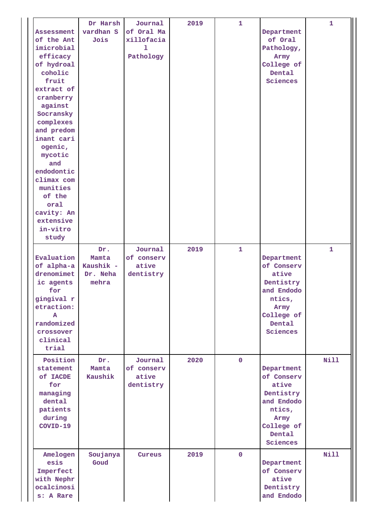| Assessment<br>of the Ant<br>imicrobial<br>efficacy<br>of hydroal<br>coholic<br>fruit<br>extract of<br>cranberry<br>against<br>Socransky<br>complexes<br>and predom<br>inant cari<br>ogenic,<br>mycotic<br>and<br>endodontic<br>climax com<br>munities<br>of the<br>oral<br>cavity: An<br>extensive<br>in-vitro<br>study | Dr Harsh<br>vardhan S<br>Jois                  | Journal<br>of Oral Ma<br>xillofacia<br>ı<br>Pathology | 2019 | $\mathbf{1}$ | Department<br>of Oral<br>Pathology,<br>Army<br>College of<br>Dental<br>Sciences                                    | $\mathbf{1}$ |
|-------------------------------------------------------------------------------------------------------------------------------------------------------------------------------------------------------------------------------------------------------------------------------------------------------------------------|------------------------------------------------|-------------------------------------------------------|------|--------------|--------------------------------------------------------------------------------------------------------------------|--------------|
| Evaluation<br>of alpha-a<br>drenomimet<br>ic agents<br>for<br>gingival r<br>etraction:<br>A<br>randomized<br>crossover<br>clinical<br>trial                                                                                                                                                                             | Dr.<br>Mamta<br>Kaushik -<br>Dr. Neha<br>mehra | Journal<br>of conserv<br>ative<br>dentistry           | 2019 | $\mathbf{1}$ | Department<br>of Conserv<br>ative<br>Dentistry<br>and Endodo<br>ntics,<br>Army<br>College of<br>Dental<br>Sciences | $\mathbf{1}$ |
| Position<br>statement<br>of IACDE<br>for<br>managing<br>dental<br>patients<br>during<br>COVID-19                                                                                                                                                                                                                        | Dr.<br>Mamta<br>Kaushik                        | Journal<br>of conserv<br>ative<br>dentistry           | 2020 | $\mathbf{0}$ | Department<br>of Conserv<br>ative<br>Dentistry<br>and Endodo<br>ntics,<br>Army<br>College of<br>Dental<br>Sciences | <b>Nill</b>  |
| Amelogen<br>esis<br>Imperfect<br>with Nephr<br>ocalcinosi<br>s: A Rare                                                                                                                                                                                                                                                  | Soujanya<br>Goud                               | Cureus                                                | 2019 | $\mathbf{0}$ | Department<br>of Conserv<br>ative<br>Dentistry<br>and Endodo                                                       | <b>Nill</b>  |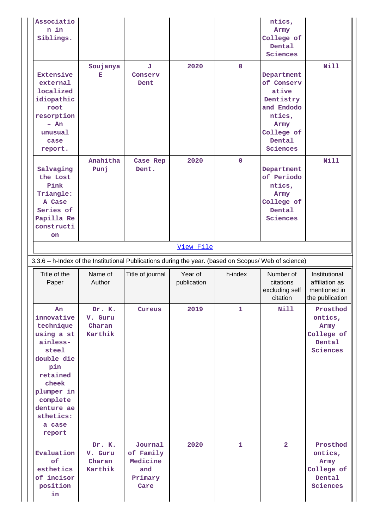| n in<br>Siblings.                                                                                                                                                                   |                                                                                                      |                       |                        |              | ntics,<br>Army<br>College of<br>Dental<br>Sciences                                                                 |                                                                    |  |  |
|-------------------------------------------------------------------------------------------------------------------------------------------------------------------------------------|------------------------------------------------------------------------------------------------------|-----------------------|------------------------|--------------|--------------------------------------------------------------------------------------------------------------------|--------------------------------------------------------------------|--|--|
| <b>Extensive</b><br>external<br>localized<br>idiopathic<br>root<br>resorption<br>$- An$<br>unusual<br>case<br>report.                                                               | Soujanya<br>Е                                                                                        | J.<br>Conserv<br>Dent | 2020                   | $\mathbf 0$  | Department<br>of Conserv<br>ative<br>Dentistry<br>and Endodo<br>ntics,<br>Army<br>College of<br>Dental<br>Sciences | <b>Nill</b>                                                        |  |  |
| Salvaging<br>the Lost<br>Pink<br>Triangle:<br>A Case<br>Series of<br>Papilla Re<br>constructi<br>on                                                                                 | Anahitha<br>Punj                                                                                     | Case Rep<br>Dent.     | 2020                   | $\mathbf 0$  | Department<br>of Periodo<br>ntics,<br>Army<br>College of<br>Dental<br>Sciences                                     | <b>Nill</b>                                                        |  |  |
|                                                                                                                                                                                     |                                                                                                      |                       | View File              |              |                                                                                                                    |                                                                    |  |  |
|                                                                                                                                                                                     | 3.3.6 - h-Index of the Institutional Publications during the year. (based on Scopus/ Web of science) |                       |                        |              |                                                                                                                    |                                                                    |  |  |
|                                                                                                                                                                                     |                                                                                                      |                       |                        |              |                                                                                                                    |                                                                    |  |  |
| Title of the<br>Paper                                                                                                                                                               | Name of<br>Author                                                                                    | Title of journal      | Year of<br>publication | h-index      | Number of<br>citations<br>excluding self<br>citation                                                               | Institutional<br>affiliation as<br>mentioned in<br>the publication |  |  |
| An<br>innovative<br>technique<br>using a st<br>ainless-<br>steel<br>double die<br>pin<br>retained<br>cheek<br>plumper in<br>complete<br>denture ae<br>sthetics:<br>a case<br>report | Dr. K.<br>V. Guru<br>Charan<br>Karthik                                                               | Cureus                | 2019                   | $\mathbf{1}$ | <b>Nill</b>                                                                                                        | Prosthod<br>ontics,<br>Army<br>College of<br>Dental<br>Sciences    |  |  |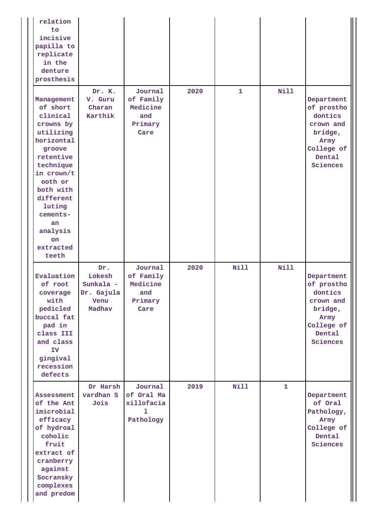| relation<br>to<br>incisive<br>papilla to<br>replicate<br>in the<br>denture<br>prosthesis                                                                                                                                              |                                                            |                                                            |      |              |              |                                                                                                         |
|---------------------------------------------------------------------------------------------------------------------------------------------------------------------------------------------------------------------------------------|------------------------------------------------------------|------------------------------------------------------------|------|--------------|--------------|---------------------------------------------------------------------------------------------------------|
| Management<br>of short<br>clinical<br>crowns by<br>utilizing<br>horizontal<br>groove<br>retentive<br>technique<br>in crown/t<br>ooth or<br>both with<br>different<br>luting<br>cements-<br>an<br>analysis<br>on<br>extracted<br>teeth | Dr. K.<br>V. Guru<br>Charan<br>Karthik                     | Journal<br>of Family<br>Medicine<br>and<br>Primary<br>Care | 2020 | $\mathbf{1}$ | Nill         | Department<br>of prostho<br>dontics<br>crown and<br>bridge,<br>Army<br>College of<br>Dental<br>Sciences |
| Evaluation<br>of root<br>coverage<br>with<br>pedicled<br>buccal fat<br>pad in<br>class III<br>and class<br>IV<br>gingival<br>recession<br>defects                                                                                     | Dr.<br>Lokesh<br>Sunkala -<br>Dr. Gajula<br>Venu<br>Madhav | Journal<br>of Family<br>Medicine<br>and<br>Primary<br>Care | 2020 | Nill         | <b>Nill</b>  | Department<br>of prostho<br>dontics<br>crown and<br>bridge,<br>Army<br>College of<br>Dental<br>Sciences |
| Assessment<br>of the Ant<br>imicrobial<br>efficacy<br>of hydroal<br>coholic<br>fruit<br>extract of<br>cranberry<br>against<br>Socransky<br>complexes<br>and predom                                                                    | Dr Harsh<br>vardhan S<br>Jois                              | Journal<br>of Oral Ma<br>xillofacia<br>ı<br>Pathology      | 2019 | Nill         | $\mathbf{1}$ | Department<br>of Oral<br>Pathology,<br>Army<br>College of<br>Dental<br>Sciences                         |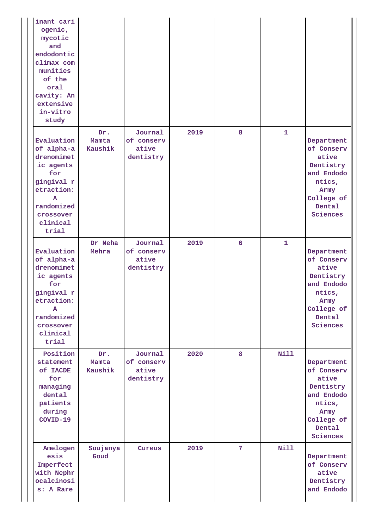| inant cari<br>ogenic,<br>mycotic<br>and<br>endodontic<br>climax com<br>munities<br>of the<br>oral<br>cavity: An<br>extensive<br>in-vitro<br>study |                         |                                             |      |                |              |                                                                                                                    |
|---------------------------------------------------------------------------------------------------------------------------------------------------|-------------------------|---------------------------------------------|------|----------------|--------------|--------------------------------------------------------------------------------------------------------------------|
| Evaluation<br>of alpha-a<br>drenomimet<br>ic agents<br>for<br>gingival r<br>etraction:<br>A<br>randomized<br>crossover<br>clinical<br>trial       | Dr.<br>Mamta<br>Kaushik | Journal<br>of conserv<br>ative<br>dentistry | 2019 | 8              | $\mathbf{1}$ | Department<br>of Conserv<br>ative<br>Dentistry<br>and Endodo<br>ntics,<br>Army<br>College of<br>Dental<br>Sciences |
| Evaluation<br>of alpha-a<br>drenomimet<br>ic agents<br>for<br>gingival r<br>etraction:<br>A<br>randomized<br>crossover<br>clinical<br>trial       | Dr Neha<br>Mehra        | Journal<br>of conserv<br>ative<br>dentistry | 2019 | 6              | $\mathbf{1}$ | Department<br>of Conserv<br>ative<br>Dentistry<br>and Endodo<br>ntics,<br>Army<br>College of<br>Dental<br>Sciences |
| Position<br>statement<br>of IACDE<br>for<br>managing<br>dental<br>patients<br>during<br>COVID-19                                                  | Dr.<br>Mamta<br>Kaushik | Journal<br>of conserv<br>ative<br>dentistry | 2020 | 8              | <b>Nill</b>  | Department<br>of Conserv<br>ative<br>Dentistry<br>and Endodo<br>ntics,<br>Army<br>College of<br>Dental<br>Sciences |
| Amelogen<br>esis<br>Imperfect<br>with Nephr<br>ocalcinosi<br>s: A Rare                                                                            | Soujanya<br>Goud        | Cureus                                      | 2019 | $\overline{7}$ | <b>Nill</b>  | Department<br>of Conserv<br>ative<br>Dentistry<br>and Endodo                                                       |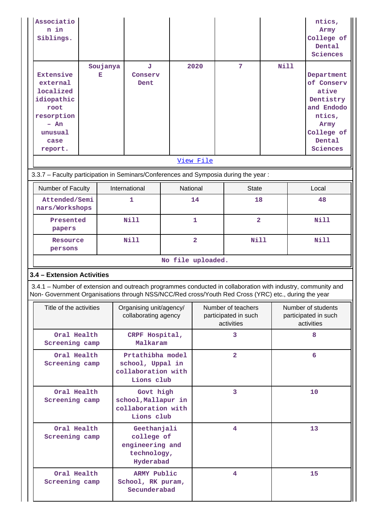| Associatio<br>n in<br>Siblings.                                                                                                                                                                                    |               |                                                         |                                                                          |                   |                                                          |                                 |                         |                                                          | ntics,<br>Army<br>College of<br>Dental<br>Sciences                                                                 |  |  |
|--------------------------------------------------------------------------------------------------------------------------------------------------------------------------------------------------------------------|---------------|---------------------------------------------------------|--------------------------------------------------------------------------|-------------------|----------------------------------------------------------|---------------------------------|-------------------------|----------------------------------------------------------|--------------------------------------------------------------------------------------------------------------------|--|--|
| <b>Extensive</b><br>external<br>localized<br>idiopathic<br>root<br>resorption<br>- An<br>unusual<br>case<br>report.                                                                                                | Soujanya<br>Е |                                                         | J<br>Conserv<br>Dent                                                     |                   | 2020                                                     | 7                               | <b>Nill</b>             |                                                          | Department<br>of Conserv<br>ative<br>Dentistry<br>and Endodo<br>ntics,<br>Army<br>College of<br>Dental<br>Sciences |  |  |
|                                                                                                                                                                                                                    |               |                                                         |                                                                          |                   | View File                                                |                                 |                         |                                                          |                                                                                                                    |  |  |
| 3.3.7 - Faculty participation in Seminars/Conferences and Symposia during the year:                                                                                                                                |               |                                                         |                                                                          |                   |                                                          |                                 |                         |                                                          |                                                                                                                    |  |  |
| Number of Faculty                                                                                                                                                                                                  |               | International                                           |                                                                          | National          |                                                          | <b>State</b>                    |                         |                                                          | Local                                                                                                              |  |  |
| Attended/Semi<br>nars/Workshops                                                                                                                                                                                    |               | 1                                                       |                                                                          |                   | 14                                                       | 18                              |                         |                                                          | 48                                                                                                                 |  |  |
| Presented<br>papers                                                                                                                                                                                                |               | <b>Nill</b>                                             |                                                                          |                   | 1                                                        |                                 | $\overline{\mathbf{2}}$ |                                                          | <b>Nill</b>                                                                                                        |  |  |
| persons                                                                                                                                                                                                            | Resource      |                                                         | <b>Nill</b>                                                              |                   |                                                          | $\overline{\mathbf{2}}$<br>Nill |                         |                                                          | <b>Nill</b>                                                                                                        |  |  |
|                                                                                                                                                                                                                    |               |                                                         |                                                                          | No file uploaded. |                                                          |                                 |                         |                                                          |                                                                                                                    |  |  |
| 3.4 - Extension Activities                                                                                                                                                                                         |               |                                                         |                                                                          |                   |                                                          |                                 |                         |                                                          |                                                                                                                    |  |  |
| 3.4.1 – Number of extension and outreach programmes conducted in collaboration with industry, community and<br>Non- Government Organisations through NSS/NCC/Red cross/Youth Red Cross (YRC) etc., during the year |               |                                                         |                                                                          |                   |                                                          |                                 |                         |                                                          |                                                                                                                    |  |  |
| Title of the activities                                                                                                                                                                                            |               |                                                         | Organising unit/agency/<br>collaborating agency                          |                   | Number of teachers<br>participated in such<br>activities |                                 |                         | Number of students<br>participated in such<br>activities |                                                                                                                    |  |  |
| Oral Health<br>Screening camp                                                                                                                                                                                      |               |                                                         | CRPF Hospital,<br>Malkaram                                               |                   |                                                          | 3                               |                         |                                                          | 8                                                                                                                  |  |  |
| Oral Health<br>Screening camp                                                                                                                                                                                      |               |                                                         | Prtathibha model<br>school, Uppal in<br>collaboration with<br>Lions club |                   |                                                          | $\overline{2}$                  |                         |                                                          | 6                                                                                                                  |  |  |
| Oral Health<br>Screening camp                                                                                                                                                                                      |               |                                                         | Govt high<br>school, Mallapur in<br>collaboration with<br>Lions club     |                   |                                                          | 3                               |                         | 10                                                       |                                                                                                                    |  |  |
| Oral Health<br>Screening camp                                                                                                                                                                                      |               |                                                         | Geethanjali<br>college of<br>engineering and<br>technology,<br>Hyderabad |                   |                                                          | 4                               |                         |                                                          | 13                                                                                                                 |  |  |
| Oral Health<br>Screening camp                                                                                                                                                                                      |               | <b>ARMY Public</b><br>School, RK puram,<br>Secunderabad |                                                                          |                   | 4                                                        |                                 |                         | 15                                                       |                                                                                                                    |  |  |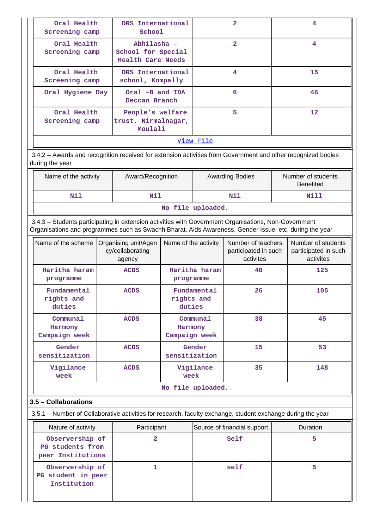| Oral Health<br>Screening camp | DRS International<br>School                                   | $\mathbf{z}$   |                   |  |  |  |  |
|-------------------------------|---------------------------------------------------------------|----------------|-------------------|--|--|--|--|
| Oral Health<br>Screening camp | Abhilasha -<br>School for Special<br><b>Health Care Needs</b> | $\overline{2}$ | 4                 |  |  |  |  |
| Oral Health<br>Screening camp | DRS International<br>school, Kompally                         | 4              | 15                |  |  |  |  |
| Oral Hygiene Day              | Oral -B and IDA<br>Deccan Branch                              | 6              | 46                |  |  |  |  |
| Oral Health<br>Screening camp | People's welfare<br>trust, Nirmalnagar,<br>Moulali            | 5              | $12 \overline{ }$ |  |  |  |  |
| View File                     |                                                               |                |                   |  |  |  |  |

 3.4.2 – Awards and recognition received for extension activities from Government and other recognized bodies during the year

| Name of the activity      | Award/Recognition | <b>Awarding Bodies</b> | Number of students<br><b>Benefited</b> |  |  |  |  |  |  |  |
|---------------------------|-------------------|------------------------|----------------------------------------|--|--|--|--|--|--|--|
| Nil<br>Nill<br>Nil<br>Nil |                   |                        |                                        |  |  |  |  |  |  |  |
| No file uploaded.         |                   |                        |                                        |  |  |  |  |  |  |  |

 3.4.3 – Students participating in extension activities with Government Organisations, Non-Government Organisations and programmes such as Swachh Bharat, Aids Awareness, Gender Issue, etc. during the year

| Name of the scheme                   | Organising unit/Agen<br>cy/collaborating<br>agency | Name of the activity                 | Number of teachers<br>participated in such<br>activites | Number of students<br>participated in such<br>activites |  |  |  |  |
|--------------------------------------|----------------------------------------------------|--------------------------------------|---------------------------------------------------------|---------------------------------------------------------|--|--|--|--|
| Haritha haram<br>programme           | <b>ACDS</b>                                        | Haritha haram<br>programme           | 40                                                      | 125                                                     |  |  |  |  |
| Fundamental<br>rights and<br>duties  | <b>ACDS</b>                                        | Fundamental<br>rights and<br>duties  | 26                                                      | 105                                                     |  |  |  |  |
| Communal<br>Harmony<br>Campaign week | <b>ACDS</b>                                        | Communal<br>Harmony<br>Campaign week | 38                                                      | 45                                                      |  |  |  |  |
| Gender<br>sensitization              | <b>ACDS</b>                                        | Gender<br>sensitization              | 15                                                      | 53                                                      |  |  |  |  |
| Vigilance<br>week                    | <b>ACDS</b>                                        | Vigilance<br>week                    | 35                                                      | 148                                                     |  |  |  |  |
| No file uploaded.                    |                                                    |                                      |                                                         |                                                         |  |  |  |  |

## **3.5 – Collaborations**

| 3.5.1 – Number of Collaborative activities for research, faculty exchange, student exchange during the year |                             |          |   |  |  |  |  |  |
|-------------------------------------------------------------------------------------------------------------|-----------------------------|----------|---|--|--|--|--|--|
| Nature of activity                                                                                          | Source of financial support | Duration |   |  |  |  |  |  |
| Observership of<br>PG students from<br>peer Institutions                                                    |                             | Self     | 5 |  |  |  |  |  |
| Observership of<br>PG student in peer<br>Institution                                                        |                             | self     |   |  |  |  |  |  |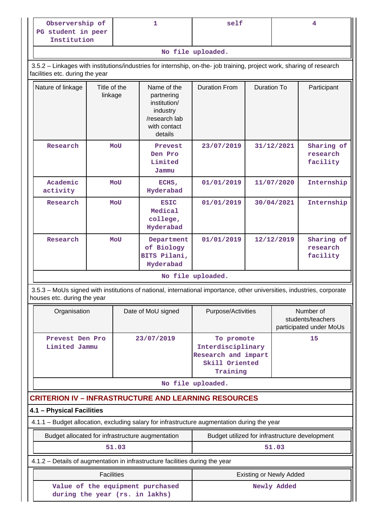| Observership of                   | self |  |
|-----------------------------------|------|--|
| PG student in peer<br>Institution |      |  |

**No file uploaded.**

 3.5.2 – Linkages with institutions/industries for internship, on-the- job training, project work, sharing of research facilities etc. during the year

| Nature of linkage    | Title of the<br>linkage | Name of the<br>partnering<br>institution/<br>industry<br>/research lab<br>with contact<br>details | <b>Duration From</b> | Duration To | Participant                        |  |  |  |
|----------------------|-------------------------|---------------------------------------------------------------------------------------------------|----------------------|-------------|------------------------------------|--|--|--|
| Research             | MoU                     | Prevest<br>Den Pro<br>Limited<br>Jammu                                                            | 23/07/2019           | 31/12/2021  | Sharing of<br>research<br>facility |  |  |  |
| Academic<br>activity | <b>MOU</b>              | ECHS,<br>Hyderabad                                                                                | 01/01/2019           | 11/07/2020  | Internship                         |  |  |  |
| Research             | <b>MOU</b>              | <b>ESIC</b><br>Medical<br>college,<br>Hyderabad                                                   | 01/01/2019           | 30/04/2021  | Internship                         |  |  |  |
| Research             | MoU                     | Department<br>of Biology<br>BITS Pilani,<br>Hyderabad                                             | 01/01/2019           | 12/12/2019  | Sharing of<br>research<br>facility |  |  |  |
| No file uploaded.    |                         |                                                                                                   |                      |             |                                    |  |  |  |

 3.5.3 – MoUs signed with institutions of national, international importance, other universities, industries, corporate houses etc. during the year

| 23/07/2019<br>15<br>Prevest Den Pro<br>To promote<br>Interdisciplinary<br>Limited Jammu<br>Research and impart<br>Skill Oriented<br>Training | Organisation | Date of MoU signed | Purpose/Activities | Number of<br>students/teachers<br>participated under MoUs |
|----------------------------------------------------------------------------------------------------------------------------------------------|--------------|--------------------|--------------------|-----------------------------------------------------------|
|                                                                                                                                              |              |                    |                    |                                                           |

**No file uploaded.**

## **CRITERION IV – INFRASTRUCTURE AND LEARNING RESOURCES**

## **4.1 – Physical Facilities**

4.1.1 – Budget allocation, excluding salary for infrastructure augmentation during the year

## Budget allocated for infrastructure augmentation <br>Budget utilized for infrastructure augmentation <br>Budget utilized for infrastructure development  **51.03 51.03**

 4.1.2 – Details of augmentation in infrastructure facilities during the year **Facilities Existing or Newly Added Existing or Newly Added** 

| Existing or Newly Added |
|-------------------------|
| Newly Added             |
|                         |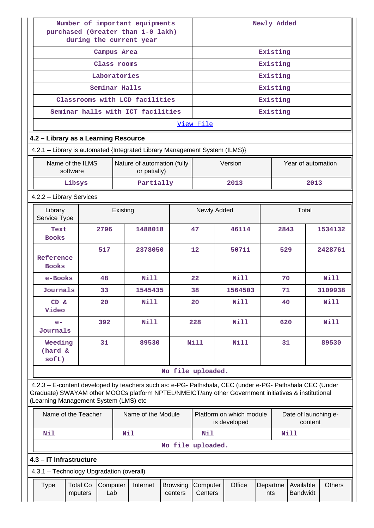| Number of important equipments<br>purchased (Greater than 1-0 lakh)<br>during the current year                                                                                                                                                          |                                                                                                                          | Newly Added          |               |                                             |                            |                     |       |             |                 |          |                       |         |               |
|---------------------------------------------------------------------------------------------------------------------------------------------------------------------------------------------------------------------------------------------------------|--------------------------------------------------------------------------------------------------------------------------|----------------------|---------------|---------------------------------------------|----------------------------|---------------------|-------|-------------|-----------------|----------|-----------------------|---------|---------------|
|                                                                                                                                                                                                                                                         |                                                                                                                          | Existing             |               |                                             |                            |                     |       |             |                 |          |                       |         |               |
|                                                                                                                                                                                                                                                         | Class rooms                                                                                                              |                      |               |                                             |                            |                     |       |             |                 | Existing |                       |         |               |
|                                                                                                                                                                                                                                                         |                                                                                                                          |                      | Laboratories  |                                             |                            |                     |       |             |                 | Existing |                       |         |               |
|                                                                                                                                                                                                                                                         |                                                                                                                          |                      | Seminar Halls |                                             |                            |                     |       |             |                 | Existing |                       |         |               |
|                                                                                                                                                                                                                                                         |                                                                                                                          |                      |               | Classrooms with LCD facilities              |                            |                     |       |             |                 | Existing |                       |         |               |
|                                                                                                                                                                                                                                                         |                                                                                                                          |                      |               | Seminar halls with ICT facilities           |                            |                     |       |             |                 | Existing |                       |         |               |
|                                                                                                                                                                                                                                                         |                                                                                                                          |                      |               |                                             |                            | View File           |       |             |                 |          |                       |         |               |
| 4.2 - Library as a Learning Resource                                                                                                                                                                                                                    |                                                                                                                          |                      |               |                                             |                            |                     |       |             |                 |          |                       |         |               |
| 4.2.1 - Library is automated {Integrated Library Management System (ILMS)}                                                                                                                                                                              |                                                                                                                          |                      |               |                                             |                            |                     |       |             |                 |          |                       |         |               |
| Name of the ILMS<br>software                                                                                                                                                                                                                            |                                                                                                                          |                      |               | Nature of automation (fully<br>or patially) |                            |                     |       | Version     |                 |          | Year of automation    |         |               |
| Libsys                                                                                                                                                                                                                                                  |                                                                                                                          |                      |               | Partially                                   |                            |                     |       | 2013        |                 |          |                       | 2013    |               |
| 4.2.2 - Library Services                                                                                                                                                                                                                                |                                                                                                                          |                      |               |                                             |                            |                     |       |             |                 |          |                       |         |               |
| Library<br>Service Type                                                                                                                                                                                                                                 |                                                                                                                          |                      | Existing      |                                             |                            | Newly Added         |       |             |                 |          | Total                 |         |               |
| Text<br><b>Books</b>                                                                                                                                                                                                                                    |                                                                                                                          | 2796                 |               | 1488018                                     |                            | 46114<br>47         |       |             | 2843            |          |                       | 1534132 |               |
| Reference<br><b>Books</b>                                                                                                                                                                                                                               |                                                                                                                          | 12<br>517<br>2378050 |               |                                             |                            |                     | 50711 |             | 529             |          |                       | 2428761 |               |
| e-Books                                                                                                                                                                                                                                                 |                                                                                                                          | 48                   |               | Nill                                        |                            | $22 \overline{)}$   |       | N11         | 70              |          |                       |         | Nill          |
| Journals                                                                                                                                                                                                                                                |                                                                                                                          | 33                   |               | 1545435                                     |                            | 38                  |       | 1564503     | 71              |          |                       |         | 3109938       |
| CD &<br>Video                                                                                                                                                                                                                                           |                                                                                                                          | 20                   |               | <b>Nill</b>                                 |                            | 20                  |       | <b>Nill</b> |                 | 40       |                       |         | Nill          |
| $e-$<br>Journals                                                                                                                                                                                                                                        |                                                                                                                          | 392                  |               | Nill                                        |                            | 228                 |       | Nill        |                 | 620      |                       |         | <b>Nill</b>   |
| Weeding<br>(hard &<br>soft)                                                                                                                                                                                                                             |                                                                                                                          | 31                   |               | 89530                                       |                            | <b>Nill</b>         |       | <b>Nill</b> |                 | 31       |                       |         | 89530         |
|                                                                                                                                                                                                                                                         |                                                                                                                          |                      |               |                                             | No file uploaded.          |                     |       |             |                 |          |                       |         |               |
| 4.2.3 - E-content developed by teachers such as: e-PG- Pathshala, CEC (under e-PG- Pathshala CEC (Under<br>Graduate) SWAYAM other MOOCs platform NPTEL/NMEICT/any other Government initiatives & institutional<br>(Learning Management System (LMS) etc |                                                                                                                          |                      |               |                                             |                            |                     |       |             |                 |          |                       |         |               |
|                                                                                                                                                                                                                                                         | Name of the Teacher<br>Name of the Module<br>Platform on which module<br>Date of launching e-<br>is developed<br>content |                      |               |                                             |                            |                     |       |             |                 |          |                       |         |               |
| Nil<br>Nil<br>Nil<br><b>Nill</b>                                                                                                                                                                                                                        |                                                                                                                          |                      |               |                                             |                            |                     |       |             |                 |          |                       |         |               |
|                                                                                                                                                                                                                                                         | No file uploaded.                                                                                                        |                      |               |                                             |                            |                     |       |             |                 |          |                       |         |               |
| 4.3 - IT Infrastructure                                                                                                                                                                                                                                 |                                                                                                                          |                      |               |                                             |                            |                     |       |             |                 |          |                       |         |               |
| 4.3.1 - Technology Upgradation (overall)                                                                                                                                                                                                                |                                                                                                                          |                      |               |                                             |                            |                     |       |             |                 |          |                       |         |               |
| <b>Type</b>                                                                                                                                                                                                                                             | <b>Total Co</b><br>mputers                                                                                               | Computer<br>Lab      |               | Internet                                    | <b>Browsing</b><br>centers | Computer<br>Centers |       | Office      | Departme<br>nts |          | Available<br>Bandwidt |         | <b>Others</b> |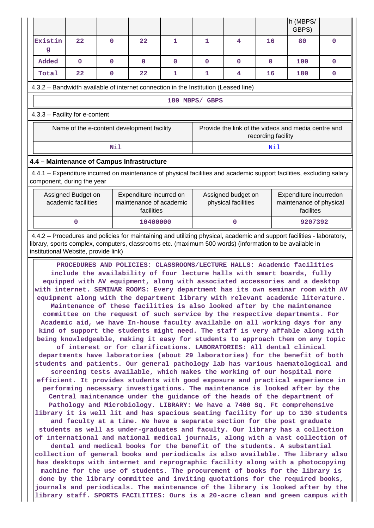| h (MBPS/<br>GBPS)                                                                                                                                                                                                                                                                                                                                                                                                                                                                                                                                                                                                                                                                                                                                                                                                                                                                                                                                                                                                                                                                                                                                                                                                                                                                                                                                                                                                                                                                                                                                                                                                                                                                                                                                                                                                                                                                                                                                                                                                                                                                                                                                                                                                                                                                                        |                                                                                                                         |              |                                                                  |   |              |                                           |     |                                                                                                                                                                                                                                  |              |  |  |
|----------------------------------------------------------------------------------------------------------------------------------------------------------------------------------------------------------------------------------------------------------------------------------------------------------------------------------------------------------------------------------------------------------------------------------------------------------------------------------------------------------------------------------------------------------------------------------------------------------------------------------------------------------------------------------------------------------------------------------------------------------------------------------------------------------------------------------------------------------------------------------------------------------------------------------------------------------------------------------------------------------------------------------------------------------------------------------------------------------------------------------------------------------------------------------------------------------------------------------------------------------------------------------------------------------------------------------------------------------------------------------------------------------------------------------------------------------------------------------------------------------------------------------------------------------------------------------------------------------------------------------------------------------------------------------------------------------------------------------------------------------------------------------------------------------------------------------------------------------------------------------------------------------------------------------------------------------------------------------------------------------------------------------------------------------------------------------------------------------------------------------------------------------------------------------------------------------------------------------------------------------------------------------------------------------|-------------------------------------------------------------------------------------------------------------------------|--------------|------------------------------------------------------------------|---|--------------|-------------------------------------------|-----|----------------------------------------------------------------------------------------------------------------------------------------------------------------------------------------------------------------------------------|--------------|--|--|
| Existin<br>g                                                                                                                                                                                                                                                                                                                                                                                                                                                                                                                                                                                                                                                                                                                                                                                                                                                                                                                                                                                                                                                                                                                                                                                                                                                                                                                                                                                                                                                                                                                                                                                                                                                                                                                                                                                                                                                                                                                                                                                                                                                                                                                                                                                                                                                                                             | 22                                                                                                                      | $\Omega$     | 22                                                               | 1 | $\mathbf{1}$ | 4                                         | 16  | 80                                                                                                                                                                                                                               | 0            |  |  |
| Added                                                                                                                                                                                                                                                                                                                                                                                                                                                                                                                                                                                                                                                                                                                                                                                                                                                                                                                                                                                                                                                                                                                                                                                                                                                                                                                                                                                                                                                                                                                                                                                                                                                                                                                                                                                                                                                                                                                                                                                                                                                                                                                                                                                                                                                                                                    | $\mathbf{0}$                                                                                                            | $\mathbf{0}$ | $\mathbf{0}$                                                     | 0 | 0            | $\mathbf{0}$                              | 0   | 100                                                                                                                                                                                                                              | $\mathbf{0}$ |  |  |
| Total                                                                                                                                                                                                                                                                                                                                                                                                                                                                                                                                                                                                                                                                                                                                                                                                                                                                                                                                                                                                                                                                                                                                                                                                                                                                                                                                                                                                                                                                                                                                                                                                                                                                                                                                                                                                                                                                                                                                                                                                                                                                                                                                                                                                                                                                                                    | 22                                                                                                                      | $\mathbf 0$  | 22                                                               | 1 | 1            | 4                                         | 16  | 180                                                                                                                                                                                                                              | 0            |  |  |
|                                                                                                                                                                                                                                                                                                                                                                                                                                                                                                                                                                                                                                                                                                                                                                                                                                                                                                                                                                                                                                                                                                                                                                                                                                                                                                                                                                                                                                                                                                                                                                                                                                                                                                                                                                                                                                                                                                                                                                                                                                                                                                                                                                                                                                                                                                          | 4.3.2 – Bandwidth available of internet connection in the Institution (Leased line)                                     |              |                                                                  |   |              |                                           |     |                                                                                                                                                                                                                                  |              |  |  |
| 180 MBPS/ GBPS                                                                                                                                                                                                                                                                                                                                                                                                                                                                                                                                                                                                                                                                                                                                                                                                                                                                                                                                                                                                                                                                                                                                                                                                                                                                                                                                                                                                                                                                                                                                                                                                                                                                                                                                                                                                                                                                                                                                                                                                                                                                                                                                                                                                                                                                                           |                                                                                                                         |              |                                                                  |   |              |                                           |     |                                                                                                                                                                                                                                  |              |  |  |
| 4.3.3 - Facility for e-content                                                                                                                                                                                                                                                                                                                                                                                                                                                                                                                                                                                                                                                                                                                                                                                                                                                                                                                                                                                                                                                                                                                                                                                                                                                                                                                                                                                                                                                                                                                                                                                                                                                                                                                                                                                                                                                                                                                                                                                                                                                                                                                                                                                                                                                                           |                                                                                                                         |              |                                                                  |   |              |                                           |     |                                                                                                                                                                                                                                  |              |  |  |
|                                                                                                                                                                                                                                                                                                                                                                                                                                                                                                                                                                                                                                                                                                                                                                                                                                                                                                                                                                                                                                                                                                                                                                                                                                                                                                                                                                                                                                                                                                                                                                                                                                                                                                                                                                                                                                                                                                                                                                                                                                                                                                                                                                                                                                                                                                          | Name of the e-content development facility<br>Provide the link of the videos and media centre and<br>recording facility |              |                                                                  |   |              |                                           |     |                                                                                                                                                                                                                                  |              |  |  |
|                                                                                                                                                                                                                                                                                                                                                                                                                                                                                                                                                                                                                                                                                                                                                                                                                                                                                                                                                                                                                                                                                                                                                                                                                                                                                                                                                                                                                                                                                                                                                                                                                                                                                                                                                                                                                                                                                                                                                                                                                                                                                                                                                                                                                                                                                                          |                                                                                                                         | Nil          |                                                                  |   |              |                                           | Nil |                                                                                                                                                                                                                                  |              |  |  |
|                                                                                                                                                                                                                                                                                                                                                                                                                                                                                                                                                                                                                                                                                                                                                                                                                                                                                                                                                                                                                                                                                                                                                                                                                                                                                                                                                                                                                                                                                                                                                                                                                                                                                                                                                                                                                                                                                                                                                                                                                                                                                                                                                                                                                                                                                                          | 4.4 - Maintenance of Campus Infrastructure                                                                              |              |                                                                  |   |              |                                           |     |                                                                                                                                                                                                                                  |              |  |  |
|                                                                                                                                                                                                                                                                                                                                                                                                                                                                                                                                                                                                                                                                                                                                                                                                                                                                                                                                                                                                                                                                                                                                                                                                                                                                                                                                                                                                                                                                                                                                                                                                                                                                                                                                                                                                                                                                                                                                                                                                                                                                                                                                                                                                                                                                                                          | component, during the year                                                                                              |              |                                                                  |   |              |                                           |     | 4.4.1 – Expenditure incurred on maintenance of physical facilities and academic support facilities, excluding salary                                                                                                             |              |  |  |
|                                                                                                                                                                                                                                                                                                                                                                                                                                                                                                                                                                                                                                                                                                                                                                                                                                                                                                                                                                                                                                                                                                                                                                                                                                                                                                                                                                                                                                                                                                                                                                                                                                                                                                                                                                                                                                                                                                                                                                                                                                                                                                                                                                                                                                                                                                          | Assigned Budget on<br>academic facilities                                                                               |              | Expenditure incurred on<br>maintenance of academic<br>facilities |   |              | Assigned budget on<br>physical facilities |     | Expenditure incurredon<br>maintenance of physical<br>facilites                                                                                                                                                                   |              |  |  |
|                                                                                                                                                                                                                                                                                                                                                                                                                                                                                                                                                                                                                                                                                                                                                                                                                                                                                                                                                                                                                                                                                                                                                                                                                                                                                                                                                                                                                                                                                                                                                                                                                                                                                                                                                                                                                                                                                                                                                                                                                                                                                                                                                                                                                                                                                                          | 0                                                                                                                       |              | 10400000                                                         |   |              | $\mathbf{0}$                              |     | 9207392                                                                                                                                                                                                                          |              |  |  |
| institutional Website, provide link)                                                                                                                                                                                                                                                                                                                                                                                                                                                                                                                                                                                                                                                                                                                                                                                                                                                                                                                                                                                                                                                                                                                                                                                                                                                                                                                                                                                                                                                                                                                                                                                                                                                                                                                                                                                                                                                                                                                                                                                                                                                                                                                                                                                                                                                                     |                                                                                                                         |              |                                                                  |   |              |                                           |     | 4.4.2 – Procedures and policies for maintaining and utilizing physical, academic and support facilities - laboratory,<br>library, sports complex, computers, classrooms etc. (maximum 500 words) (information to be available in |              |  |  |
| PROCEDURES AND POLICIES: CLASSROOMS/LECTURE HALLS: Academic facilities<br>include the availability of four lecture halls with smart boards, fully<br>equipped with AV equipment, along with associated accessories and a desktop<br>with internet. SEMINAR ROOMS: Every department has its own seminar room with AV<br>equipment along with the department library with relevant academic literature.<br>Maintenance of these facilities is also looked after by the maintenance<br>committee on the request of such service by the respective departments. For<br>Academic aid, we have In-house faculty available on all working days for any<br>kind of support the students might need. The staff is very affable along with<br>being knowledgeable, making it easy for students to approach them on any topic<br>of interest or for clarifications. LABORATORIES: All dental clinical<br>departments have laboratories (about 29 laboratories) for the benefit of both<br>students and patients. Our general pathology lab has various haematological and<br>screening tests available, which makes the working of our hospital more<br>efficient. It provides students with good exposure and practical experience in<br>performing necessary investigations. The maintenance is looked after by the<br>Central maintenance under the guidance of the heads of the department of<br>Pathology and Microbiology. LIBRARY: We have a 7400 Sq. Ft comprehensive<br>library it is well lit and has spacious seating facility for up to 130 students<br>and faculty at a time. We have a separate section for the post graduate<br>students as well as under-graduates and faculty. Our library has a collection<br>of international and national medical journals, along with a vast collection of<br>dental and medical books for the benefit of the students. A substantial<br>collection of general books and periodicals is also available. The library also<br>has desktops with internet and reprographic facility along with a photocopying<br>machine for the use of students. The procurement of books for the library is<br>done by the library committee and inviting quotations for the required books,<br>journals and periodicals. The maintenance of the library is looked after by the |                                                                                                                         |              |                                                                  |   |              |                                           |     |                                                                                                                                                                                                                                  |              |  |  |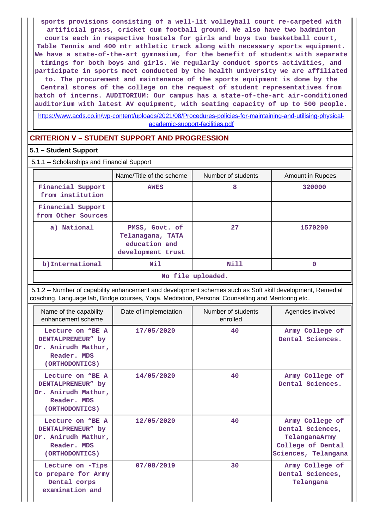**sports provisions consisting of a well-lit volleyball court re-carpeted with artificial grass, cricket cum football ground. We also have two badminton courts each in respective hostels for girls and boys two basketball court, Table Tennis and 400 mtr athletic track along with necessary sports equipment. We have a state-of-the-art gymnasium, for the benefit of students with separate timings for both boys and girls. We regularly conduct sports activities, and participate in sports meet conducted by the health university we are affiliated to. The procurement and maintenance of the sports equipment is done by the Central stores of the college on the request of student representatives from batch of interns. AUDITORIUM: Our campus has a state-of-the-art air-conditioned auditorium with latest AV equipment, with seating capacity of up to 500 people.**

[https://www.acds.co.in/wp-content/uploads/2021/08/Procedures-policies-for-maintaining-and-utilising-physical](https://www.acds.co.in/wp-content/uploads/2021/08/Procedures-policies-for-maintaining-and-utilising-physical-academic-support-facilities.pdf)[academic-support-facilities.pdf](https://www.acds.co.in/wp-content/uploads/2021/08/Procedures-policies-for-maintaining-and-utilising-physical-academic-support-facilities.pdf)

## **CRITERION V – STUDENT SUPPORT AND PROGRESSION**

### **5.1 – Student Support**

5.1.1 – Scholarships and Financial Support

|                                         | Name/Title of the scheme                                                 | Number of students | <b>Amount in Rupees</b> |
|-----------------------------------------|--------------------------------------------------------------------------|--------------------|-------------------------|
| Financial Support<br>from institution   | <b>AWES</b>                                                              | 8                  | 320000                  |
| Financial Support<br>from Other Sources |                                                                          |                    |                         |
| a) National                             | PMSS, Govt. of<br>Telanagana, TATA<br>education and<br>development trust | 27                 | 1570200                 |
| b) International                        | Nil                                                                      | Nill               |                         |
| No file uploaded.                       |                                                                          |                    |                         |

 5.1.2 – Number of capability enhancement and development schemes such as Soft skill development, Remedial coaching, Language lab, Bridge courses, Yoga, Meditation, Personal Counselling and Mentoring etc.,

| Name of the capability<br>enhancement scheme                                                  | Date of implemetation | Number of students<br>enrolled | Agencies involved                                                                                |
|-----------------------------------------------------------------------------------------------|-----------------------|--------------------------------|--------------------------------------------------------------------------------------------------|
| Lecture on "BE A<br>DENTALPRENEUR" by<br>Dr. Anirudh Mathur,<br>Reader. MDS<br>(ORTHODONTICS) | 17/05/2020            | 40                             | Army College of<br>Dental Sciences.                                                              |
| Lecture on "BE A<br>DENTALPRENEUR" by<br>Dr. Anirudh Mathur,<br>Reader. MDS<br>(ORTHODONTICS) | 14/05/2020            | 40                             | Army College of<br>Dental Sciences.                                                              |
| Lecture on "BE A<br>DENTALPRENEUR" by<br>Dr. Anirudh Mathur,<br>Reader. MDS<br>(ORTHODONTICS) | 12/05/2020            | 40                             | Army College of<br>Dental Sciences,<br>TelanganaArmy<br>College of Dental<br>Sciences, Telangana |
| Lecture on -Tips<br>to prepare for Army<br>Dental corps<br>examination and                    | 07/08/2019            | 30                             | Army College of<br>Dental Sciences,<br>Telangana                                                 |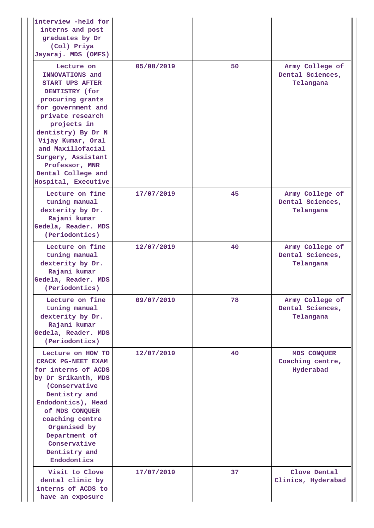| interview -held for<br>interns and post<br>graduates by Dr<br>(Col) Priya<br>Jayaraj. MDS (OMFS)                                                                                                                                                                                                            |            |    |                                                  |
|-------------------------------------------------------------------------------------------------------------------------------------------------------------------------------------------------------------------------------------------------------------------------------------------------------------|------------|----|--------------------------------------------------|
| Lecture on<br>INNOVATIONS and<br><b>START UPS AFTER</b><br>DENTISTRY (for<br>procuring grants<br>for government and<br>private research<br>projects in<br>dentistry) By Dr N<br>Vijay Kumar, Oral<br>and Maxillofacial<br>Surgery, Assistant<br>Professor, MNR<br>Dental College and<br>Hospital, Executive | 05/08/2019 | 50 | Army College of<br>Dental Sciences,<br>Telangana |
| Lecture on fine<br>tuning manual<br>dexterity by Dr.<br>Rajani kumar<br>Gedela, Reader. MDS<br>(Periodontics)                                                                                                                                                                                               | 17/07/2019 | 45 | Army College of<br>Dental Sciences,<br>Telangana |
| Lecture on fine<br>tuning manual<br>dexterity by Dr.<br>Rajani kumar<br>Gedela, Reader. MDS<br>(Periodontics)                                                                                                                                                                                               | 12/07/2019 | 40 | Army College of<br>Dental Sciences,<br>Telangana |
| Lecture on fine<br>tuning manual<br>dexterity by Dr.<br>Rajani kumar<br>Gedela, Reader. MDS<br>(Periodontics)                                                                                                                                                                                               | 09/07/2019 | 78 | Army College of<br>Dental Sciences,<br>Telangana |
| Lecture on HOW TO<br>CRACK PG-NEET EXAM<br>for interns of ACDS<br>by Dr Srikanth, MDS<br>(Conservative<br>Dentistry and<br>Endodontics), Head<br>of MDS CONQUER<br>coaching centre<br>Organised by<br>Department of<br>Conservative<br>Dentistry and<br>Endodontics                                         | 12/07/2019 | 40 | MDS CONQUER<br>Coaching centre,<br>Hyderabad     |
| Visit to Clove<br>dental clinic by<br>interns of ACDS to<br>have an exposure                                                                                                                                                                                                                                | 17/07/2019 | 37 | Clove Dental<br>Clinics, Hyderabad               |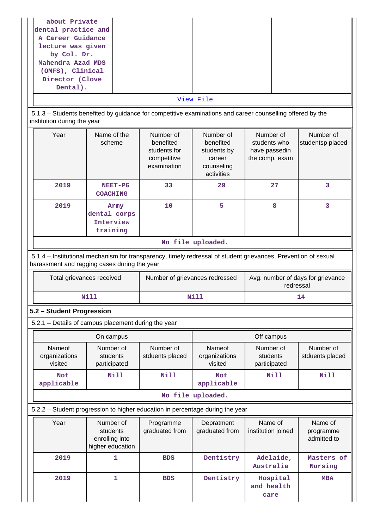| about Private<br>dental practice and<br>A Career Guidance<br>lecture was given<br>by Col. Dr.<br>Mahendra Azad MDS<br>(OMFS), Clinical<br>Director (Clove<br>Dental).<br>5.1.3 – Students benefited by guidance for competitive examinations and career counselling offered by the<br>institution during the year |                                                             |                                                                      | View File                                                                   |                                                              |                                     |
|-------------------------------------------------------------------------------------------------------------------------------------------------------------------------------------------------------------------------------------------------------------------------------------------------------------------|-------------------------------------------------------------|----------------------------------------------------------------------|-----------------------------------------------------------------------------|--------------------------------------------------------------|-------------------------------------|
| Year                                                                                                                                                                                                                                                                                                              | Name of the<br>scheme                                       | Number of<br>benefited<br>students for<br>competitive<br>examination | Number of<br>benefited<br>students by<br>career<br>counseling<br>activities | Number of<br>students who<br>have passedin<br>the comp. exam | Number of<br>studentsp placed       |
| 2019                                                                                                                                                                                                                                                                                                              | NEET-PG<br><b>COACHING</b>                                  | 33                                                                   | 29                                                                          | 27                                                           | 3                                   |
| 2019                                                                                                                                                                                                                                                                                                              | Army<br>dental corps<br>Interview<br>training               | 10                                                                   | 5                                                                           | 8                                                            | 3                                   |
| No file uploaded.<br>5.1.4 – Institutional mechanism for transparency, timely redressal of student grievances, Prevention of sexual<br>harassment and ragging cases during the year<br>Avg. number of days for grievance<br>Total grievances received<br>Number of grievances redressed<br>redressal              |                                                             |                                                                      |                                                                             |                                                              |                                     |
|                                                                                                                                                                                                                                                                                                                   | <b>Nill</b>                                                 |                                                                      | Nill                                                                        |                                                              | 14                                  |
| 5.2 - Student Progression                                                                                                                                                                                                                                                                                         |                                                             |                                                                      |                                                                             |                                                              |                                     |
| 5.2.1 - Details of campus placement during the year                                                                                                                                                                                                                                                               |                                                             |                                                                      |                                                                             |                                                              |                                     |
|                                                                                                                                                                                                                                                                                                                   | On campus                                                   |                                                                      |                                                                             | Off campus                                                   |                                     |
| Nameof<br>organizations<br>visited                                                                                                                                                                                                                                                                                | Number of<br>students<br>participated                       | Number of<br>stduents placed                                         | Nameof<br>organizations<br>visited                                          | Number of<br>students<br>participated                        | Number of<br>stduents placed        |
| <b>Not</b><br>applicable                                                                                                                                                                                                                                                                                          | Nill                                                        | <b>Nill</b>                                                          | <b>Not</b><br>applicable                                                    | Nill                                                         | <b>Nill</b>                         |
|                                                                                                                                                                                                                                                                                                                   |                                                             |                                                                      | No file uploaded.                                                           |                                                              |                                     |
| 5.2.2 - Student progression to higher education in percentage during the year                                                                                                                                                                                                                                     |                                                             |                                                                      |                                                                             |                                                              |                                     |
| Year                                                                                                                                                                                                                                                                                                              | Number of<br>students<br>enrolling into<br>higher education | Programme<br>graduated from                                          | Depratment<br>graduated from                                                | Name of<br>institution joined                                | Name of<br>programme<br>admitted to |
| 2019                                                                                                                                                                                                                                                                                                              | $\mathbf{1}$                                                | <b>BDS</b>                                                           | Dentistry                                                                   | Adelaide,<br>Australia                                       | Masters of<br>Nursing               |
| 2019                                                                                                                                                                                                                                                                                                              | 1                                                           | <b>BDS</b>                                                           | Dentistry                                                                   | Hospital<br>and health<br>care                               | <b>MBA</b>                          |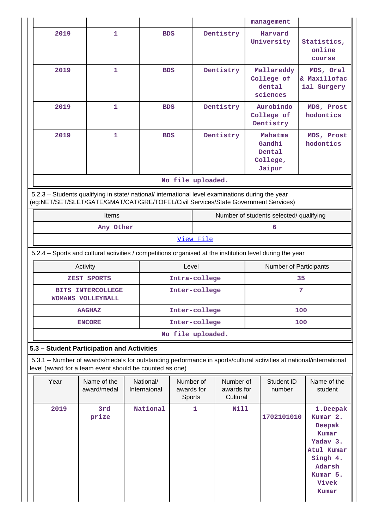|               |                                                                                                                                                                                        |                            |                           |                                   |               |                                     |  | management                                        |                                                                                                                     |
|---------------|----------------------------------------------------------------------------------------------------------------------------------------------------------------------------------------|----------------------------|---------------------------|-----------------------------------|---------------|-------------------------------------|--|---------------------------------------------------|---------------------------------------------------------------------------------------------------------------------|
|               | 2019                                                                                                                                                                                   | 1                          | <b>BDS</b>                |                                   |               | Dentistry                           |  | Harvard<br>University                             | Statistics,<br>online<br>course                                                                                     |
|               | 2019                                                                                                                                                                                   | 1                          | <b>BDS</b>                |                                   |               | Dentistry                           |  | Mallareddy<br>College of<br>dental<br>sciences    | MDS, Oral<br>& Maxillofac<br>ial Surgery                                                                            |
|               | 2019                                                                                                                                                                                   | $\mathbf{1}$               | <b>BDS</b>                |                                   |               | Dentistry                           |  | Aurobindo<br>College of<br>Dentistry              | MDS, Prost<br>hodontics                                                                                             |
|               | 2019                                                                                                                                                                                   | 1                          | <b>BDS</b>                |                                   |               | Dentistry                           |  | Mahatma<br>Gandhi<br>Dental<br>College,<br>Jaipur | MDS, Prost<br>hodontics                                                                                             |
|               |                                                                                                                                                                                        |                            |                           | No file uploaded.                 |               |                                     |  |                                                   |                                                                                                                     |
|               | 5.2.3 - Students qualifying in state/ national/ international level examinations during the year<br>(eg:NET/SET/SLET/GATE/GMAT/CAT/GRE/TOFEL/Civil Services/State Government Services) |                            |                           |                                   |               |                                     |  |                                                   |                                                                                                                     |
|               |                                                                                                                                                                                        | Items                      |                           |                                   |               |                                     |  | Number of students selected/ qualifying           |                                                                                                                     |
|               |                                                                                                                                                                                        | Any Other                  |                           |                                   | 6             |                                     |  |                                                   |                                                                                                                     |
|               |                                                                                                                                                                                        |                            |                           |                                   | View File     |                                     |  |                                                   |                                                                                                                     |
|               | 5.2.4 - Sports and cultural activities / competitions organised at the institution level during the year                                                                               |                            |                           |                                   |               |                                     |  |                                                   |                                                                                                                     |
|               | Activity<br>Level<br>Number of Participants                                                                                                                                            |                            |                           |                                   |               |                                     |  |                                                   |                                                                                                                     |
| ZEST SPORTS   |                                                                                                                                                                                        |                            |                           | Intra-college                     |               |                                     |  |                                                   | 35                                                                                                                  |
|               | <b>BITS INTERCOLLEGE</b><br>WOMANS VOLLEYBALL                                                                                                                                          |                            | Inter-college             |                                   |               |                                     |  | 7                                                 |                                                                                                                     |
| <b>AAGHAZ</b> |                                                                                                                                                                                        |                            |                           | Inter-college                     |               |                                     |  |                                                   | 100                                                                                                                 |
|               | <b>ENCORE</b>                                                                                                                                                                          |                            |                           |                                   |               |                                     |  | 100                                               |                                                                                                                     |
|               | No file uploaded.                                                                                                                                                                      |                            |                           |                                   |               |                                     |  |                                                   |                                                                                                                     |
|               |                                                                                                                                                                                        |                            |                           |                                   | Inter-college |                                     |  |                                                   |                                                                                                                     |
|               | 5.3 - Student Participation and Activities                                                                                                                                             |                            |                           |                                   |               |                                     |  |                                                   |                                                                                                                     |
|               | level (award for a team event should be counted as one)                                                                                                                                |                            |                           |                                   |               |                                     |  |                                                   | 5.3.1 - Number of awards/medals for outstanding performance in sports/cultural activities at national/international |
|               | Year                                                                                                                                                                                   | Name of the<br>award/medal | National/<br>Internaional | Number of<br>awards for<br>Sports |               | Number of<br>awards for<br>Cultural |  | Student ID<br>number                              | Name of the<br>student                                                                                              |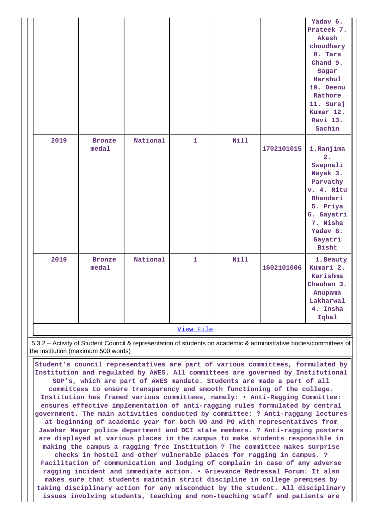|      |                        |          |                           |      |            | Yadav 6.<br>Prateek 7.<br>Akash<br>choudhary<br>8. Tara<br>Chand 9.<br>Sagar<br>Harshul<br>10. Deenu<br>Rathore<br>11. Suraj<br>Kumar 12.<br>Ravi 13.<br>Sachin |
|------|------------------------|----------|---------------------------|------|------------|-----------------------------------------------------------------------------------------------------------------------------------------------------------------|
| 2019 | <b>Bronze</b><br>medal | National | $\mathbf{1}$              | Nill | 1702101015 | 1.Ranjima<br>2.<br>Swapnali<br>Nayak 3.<br>Parvathy<br>v. 4. Ritu<br>Bhandari<br>5. Priya<br>6. Gayatri<br>7. Nisha<br>Yadav 8.<br>Gayatri<br><b>Bisht</b>      |
| 2019 | <b>Bronze</b><br>meda1 | National | $\mathbf{1}$<br>View File | Nill | 1602101006 | 1. Beauty<br>Kumari 2.<br>Karishma<br>Chauhan 3.<br>Anupama<br>Lakharwal<br>4. Insha<br>Iqbal                                                                   |

 5.3.2 – Activity of Student Council & representation of students on academic & administrative bodies/committees of the institution (maximum 500 words)

 **Student's council representatives are part of various committees, formulated by Institution and regulated by AWES. All committees are governed by Institutional SOP's, which are part of AWES mandate. Students are made a part of all committees to ensure transparency and smooth functioning of the college. Institution has framed various committees, namely: • Anti-Ragging Committee: ensures effective implementation of anti-ragging rules formulated by central government. The main activities conducted by committee: ? Anti-ragging lectures at beginning of academic year for both UG and PG with representatives from Jawahar Nagar police department and DCI state members. ? Anti-ragging posters are displayed at various places in the campus to make students responsible in making the campus a ragging free Institution ? The committee makes surprise checks in hostel and other vulnerable places for ragging in campus. ? Facilitation of communication and lodging of complain in case of any adverse ragging incident and immediate action. • Grievance Redressal Forum: It also makes sure that students maintain strict discipline in college premises by taking disciplinary action for any misconduct by the student. All disciplinary issues involving students, teaching and non-teaching staff and patients are**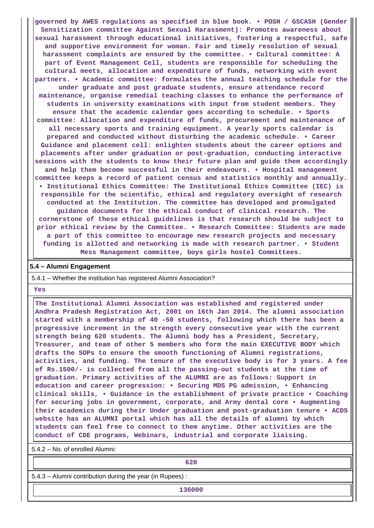**governed by AWES regulations as specified in blue book. • POSH / GSCASH (Gender Sensitization committee Against Sexual Harassment): Promotes awareness about sexual harassment through educational initiatives, fostering a respectful, safe and supportive environment for woman. Fair and timely resolution of sexual harassment complaints are ensured by the committee. • Cultural committee: A part of Event Management Cell, students are responsible for scheduling the cultural meets, allocation and expenditure of funds, networking with event partners. • Academic committee: formulates the annual teaching schedule for the under graduate and post graduate students, ensure attendance record maintenance, organise remedial teaching classes to enhance the performance of students in university examinations with input from student members. They ensure that the academic calendar goes according to schedule. • Sports committee: Allocation and expenditure of funds, procurement and maintenance of all necessary sports and training equipment. A yearly sports calendar is prepared and conducted without disturbing the academic schedule. • Career Guidance and placement cell: enlighten students about the career options and placements after under graduation or post-graduation, conducting interactive sessions with the students to know their future plan and guide them accordingly and help them become successful in their endeavours. • Hospital management committee keeps a record of patient census and statistics monthly and annually. • Institutional Ethics Committee: The Institutional Ethics Committee (IEC) is responsible for the scientific, ethical and regulatory oversight of research conducted at the Institution. The committee has developed and promulgated guidance documents for the ethical conduct of clinical research. The cornerstone of these ethical guidelines is that research should be subject to prior ethical review by the Committee. • Research Committee: Students are made a part of this committee to encourage new research projects and necessary funding is allotted and networking is made with research partner. • Student Mess Management committee, boys girls hostel Committees.**

#### **5.4 – Alumni Engagement**

5.4.1 – Whether the institution has registered Alumni Association?

 **Yes**

 **The Institutional Alumni Association was established and registered under Andhra Pradesh Registration Act, 2001 on 16th Jan 2014. The alumni association started with a membership of 40 -50 students, following which there has been a progressive increment in the strength every consecutive year with the current strength being 620 students. The Alumni body has a President, Secretary, Treasurer, and team of other 5 members who form the main EXECUTIVE BODY which drafts the SOPs to ensure the smooth functioning of Alumni registrations, activities, and funding. The tenure of the executive body is for 3 years. A fee of Rs.1500/- is collected from all the passing-out students at the time of graduation. Primary activities of the ALUMNI are as follows: Support in education and career progression: • Securing MDS PG admission, • Enhancing clinical skills, • Guidance in the establishment of private practice • Coaching for securing jobs in government, corporate, and Army dental core • Augmenting their academics during their Under graduation and post-graduation tenure • ACDS website has an ALUMNI portal which has all the details of alumni by which students can feel free to connect to them anytime. Other activities are the conduct of CDE programs, Webinars, industrial and corporate liaising.**

5.4.2 – No. of enrolled Alumni:

**620**

5.4.3 – Alumni contribution during the year (in Rupees) :

**136000**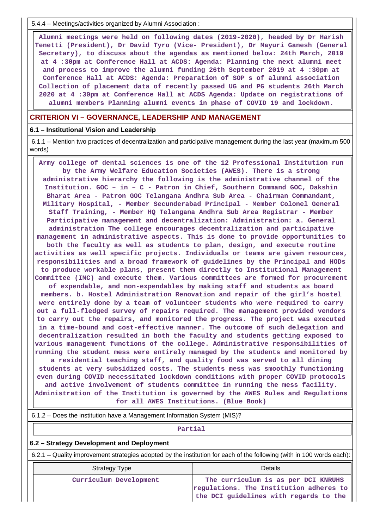5.4.4 – Meetings/activities organized by Alumni Association :

 **Alumni meetings were held on following dates (2019-2020), headed by Dr Harish Tenetti (President), Dr David Tyro (Vice- President), Dr Mayuri Ganesh (General Secretary), to discuss about the agendas as mentioned below: 24th March, 2019 at 4 :30pm at Conference Hall at ACDS: Agenda: Planning the next alumni meet and process to improve the alumni funding 26th September 2019 at 4 :30pm at Conference Hall at ACDS: Agenda: Preparation of SOP s of alumni association Collection of placement data of recently passed UG and PG students 26th March 2020 at 4 :30pm at Conference Hall at ACDS Agenda: Update on registrations of alumni members Planning alumni events in phase of COVID 19 and lockdown.**

#### **CRITERION VI – GOVERNANCE, LEADERSHIP AND MANAGEMENT**

#### **6.1 – Institutional Vision and Leadership**

 6.1.1 – Mention two practices of decentralization and participative management during the last year (maximum 500 words)

 **Army college of dental sciences is one of the 12 Professional Institution run by the Army Welfare Education Societies (AWES). There is a strong administrative hierarchy the following is the administrative channel of the Institution. GOC – in – C - Patron in Chief, Southern Command GOC, Dakshin Bharat Area - Patron GOC Telangana Andhra Sub Area - Chairman Commandant, Military Hospital, - Member Secunderabad Principal - Member Colonel General Staff Training, - Member HQ Telangana Andhra Sub Area Registrar - Member Participative management and decentralization: Administration: a. General administration The college encourages decentralization and participative management in administrative aspects. This is done to provide opportunities to both the faculty as well as students to plan, design, and execute routine activities as well specific projects. Individuals or teams are given resources, responsibilities and a broad framework of guidelines by the Principal and HODs to produce workable plans, present them directly to Institutional Management Committee (IMC) and execute them. Various committees are formed for procurement of expendable, and non-expendables by making staff and students as board members. b. Hostel Administration Renovation and repair of the girl's hostel were entirely done by a team of volunteer students who were required to carry out a full-fledged survey of repairs required. The management provided vendors to carry out the repairs, and monitored the progress. The project was executed in a time-bound and cost-effective manner. The outcome of such delegation and decentralization resulted in both the faculty and students getting exposed to various management functions of the college. Administrative responsibilities of running the student mess were entirely managed by the students and monitored by a residential teaching staff, and quality food was served to all dining students at very subsidized costs. The students mess was smoothly functioning even during COVID necessitated lockdown conditions with proper COVID protocols and active involvement of students committee in running the mess facility. Administration of the Institution is governed by the AWES Rules and Regulations for all AWES Institutions. (Blue Book)**

| 6.1.2 – Does the institution have a Management Information System (MIS)?                                              |         |  |  |  |
|-----------------------------------------------------------------------------------------------------------------------|---------|--|--|--|
| Partial                                                                                                               |         |  |  |  |
| 6.2 – Strategy Development and Deployment                                                                             |         |  |  |  |
| 6.2.1 – Quality improvement strategies adopted by the institution for each of the following (with in 100 words each): |         |  |  |  |
| Strategy Type                                                                                                         | Details |  |  |  |

 **Curriculum Development The curriculum is as per DCI KNRUHS regulations. The Institution adheres to the DCI guidelines with regards to the**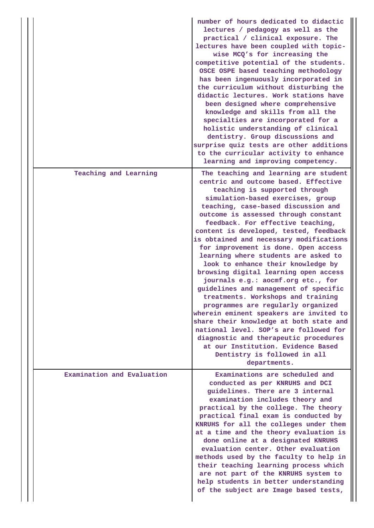|                            | number of hours dedicated to didactic<br>lectures / pedagogy as well as the<br>practical / clinical exposure. The<br>lectures have been coupled with topic-<br>wise MCQ's for increasing the<br>competitive potential of the students.<br>OSCE OSPE based teaching methodology<br>has been ingenuously incorporated in<br>the curriculum without disturbing the<br>didactic lectures. Work stations have<br>been designed where comprehensive<br>knowledge and skills from all the<br>specialties are incorporated for a<br>holistic understanding of clinical<br>dentistry. Group discussions and<br>surprise quiz tests are other additions<br>to the curricular activity to enhance<br>learning and improving competency.                                                                                                                                                                                                                          |
|----------------------------|-------------------------------------------------------------------------------------------------------------------------------------------------------------------------------------------------------------------------------------------------------------------------------------------------------------------------------------------------------------------------------------------------------------------------------------------------------------------------------------------------------------------------------------------------------------------------------------------------------------------------------------------------------------------------------------------------------------------------------------------------------------------------------------------------------------------------------------------------------------------------------------------------------------------------------------------------------|
| Teaching and Learning      | The teaching and learning are student<br>centric and outcome based. Effective<br>teaching is supported through<br>simulation-based exercises, group<br>teaching, case-based discussion and<br>outcome is assessed through constant<br>feedback. For effective teaching,<br>content is developed, tested, feedback<br>is obtained and necessary modifications<br>for improvement is done. Open access<br>learning where students are asked to<br>look to enhance their knowledge by<br>browsing digital learning open access<br>journals e.g.: aocmf.org etc., for<br>guidelines and management of specific<br>treatments. Workshops and training<br>programmes are regularly organized<br>wherein eminent speakers are invited to<br>share their knowledge at both state and<br>national level. SOP's are followed for<br>diagnostic and therapeutic procedures<br>at our Institution. Evidence Based<br>Dentistry is followed in all<br>departments. |
| Examination and Evaluation | Examinations are scheduled and<br>conducted as per KNRUHS and DCI<br>guidelines. There are 3 internal<br>examination includes theory and<br>practical by the college. The theory<br>practical final exam is conducted by<br>KNRUHS for all the colleges under them<br>at a time and the theory evaluation is<br>done online at a designated KNRUHS<br>evaluation center. Other evaluation<br>methods used by the faculty to help in<br>their teaching learning process which<br>are not part of the KNRUHS system to<br>help students in better understanding<br>of the subject are Image based tests,                                                                                                                                                                                                                                                                                                                                                |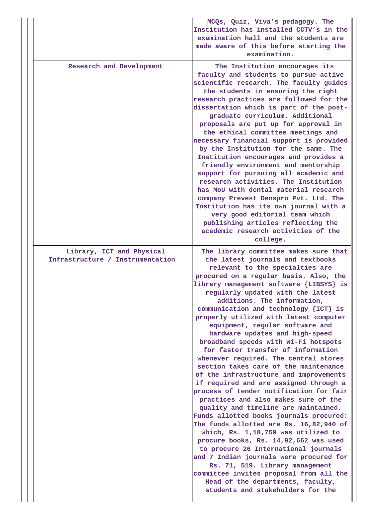|                                                               | MCQs, Quiz, Viva's pedagogy. The<br>Institution has installed CCTV's in the<br>examination hall and the students are<br>made aware of this before starting the<br>examination.                                                                                                                                                                                                                                                                                                                                                                                                                                                                                                                                                                                                                                                                                                                                                                                                                                                                                                                                                                                                                                                  |
|---------------------------------------------------------------|---------------------------------------------------------------------------------------------------------------------------------------------------------------------------------------------------------------------------------------------------------------------------------------------------------------------------------------------------------------------------------------------------------------------------------------------------------------------------------------------------------------------------------------------------------------------------------------------------------------------------------------------------------------------------------------------------------------------------------------------------------------------------------------------------------------------------------------------------------------------------------------------------------------------------------------------------------------------------------------------------------------------------------------------------------------------------------------------------------------------------------------------------------------------------------------------------------------------------------|
| Research and Development                                      | The Institution encourages its<br>faculty and students to pursue active<br>scientific research. The faculty guides<br>the students in ensuring the right<br>research practices are followed for the<br>dissertation which is part of the post-<br>graduate curriculum. Additional<br>proposals are put up for approval in<br>the ethical committee meetings and<br>necessary financial support is provided<br>by the Institution for the same. The<br>Institution encourages and provides a<br>friendly environment and mentorship<br>support for pursuing all academic and<br>research activities. The Institution<br>has MoU with dental material research<br>company Prevest Denspro Pvt. Ltd. The<br>Institution has its own journal with a<br>very good editorial team which<br>publishing articles reflecting the<br>academic research activities of the<br>college.                                                                                                                                                                                                                                                                                                                                                      |
| Library, ICT and Physical<br>Infrastructure / Instrumentation | The library committee makes sure that<br>the latest journals and textbooks<br>relevant to the specialties are<br>procured on a regular basis. Also, the<br>library management software {LIBSYS} is<br>regularly updated with the latest<br>additions. The information,<br>communication and technology {ICT} is<br>properly utilized with latest computer<br>equipment, regular software and<br>hardware updates and high-speed<br>broadband speeds with Wi-Fi hotspots<br>for faster transfer of information<br>whenever required. The central stores<br>section takes care of the maintenance<br>of the infrastructure and improvements<br>if required and are assigned through a<br>process of tender notification for fair<br>practices and also makes sure of the<br>quality and timeline are maintained.<br>Funds allotted books journals procured:<br>The funds allotted are Rs. 16,82,940 of<br>which, Rs. 1,18,759 was utilized to<br>procure books, Rs. 14,92,662 was used<br>to procure 26 International journals<br>and 7 Indian journals were procured for<br>Rs. 71, 519. Library management<br>committee invites proposal from all the<br>Head of the departments, faculty,<br>students and stakeholders for the |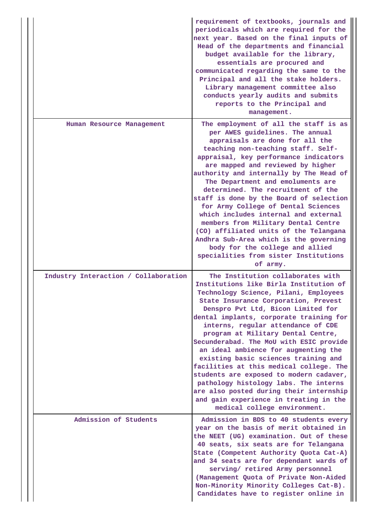|                                      | requirement of textbooks, journals and<br>periodicals which are required for the<br>next year. Based on the final inputs of<br>Head of the departments and financial<br>budget available for the library,<br>essentials are procured and<br>communicated regarding the same to the<br>Principal and all the stake holders.<br>Library management committee also<br>conducts yearly audits and submits<br>reports to the Principal and<br>management.                                                                                                                                                                                                                                                     |
|--------------------------------------|----------------------------------------------------------------------------------------------------------------------------------------------------------------------------------------------------------------------------------------------------------------------------------------------------------------------------------------------------------------------------------------------------------------------------------------------------------------------------------------------------------------------------------------------------------------------------------------------------------------------------------------------------------------------------------------------------------|
| Human Resource Management            | The employment of all the staff is as<br>per AWES guidelines. The annual<br>appraisals are done for all the<br>teaching non-teaching staff. Self-<br>appraisal, key performance indicators<br>are mapped and reviewed by higher<br>authority and internally by The Head of<br>The Department and emoluments are<br>determined. The recruitment of the<br>staff is done by the Board of selection<br>for Army College of Dental Sciences<br>which includes internal and external<br>members from Military Dental Centre<br>(CO) affiliated units of the Telangana<br>Andhra Sub-Area which is the governing<br>body for the college and allied<br>specialities from sister Institutions<br>of army.       |
| Industry Interaction / Collaboration | The Institution collaborates with<br>Institutions like Birla Institution of<br>Technology Science, Pilani, Employees<br>State Insurance Corporation, Prevest<br>Denspro Pvt Ltd, Bicon Limited for<br>dental implants, corporate training for<br>interns, regular attendance of CDE<br>program at Military Dental Centre,<br>Secunderabad. The MoU with ESIC provide<br>an ideal ambience for augmenting the<br>existing basic sciences training and<br>facilities at this medical college. The<br>students are exposed to modern cadaver,<br>pathology histology labs. The interns<br>are also posted during their internship<br>and gain experience in treating in the<br>medical college environment. |
| Admission of Students                | Admission in BDS to 40 students every<br>year on the basis of merit obtained in<br>the NEET (UG) examination. Out of these<br>40 seats, six seats are for Telangana<br>State (Competent Authority Quota Cat-A)<br>and 34 seats are for dependant wards of<br>serving/ retired Army personnel<br>(Management Quota of Private Non-Aided<br>Non-Minority Minority Colleges Cat-B).<br>Candidates have to register online in                                                                                                                                                                                                                                                                                |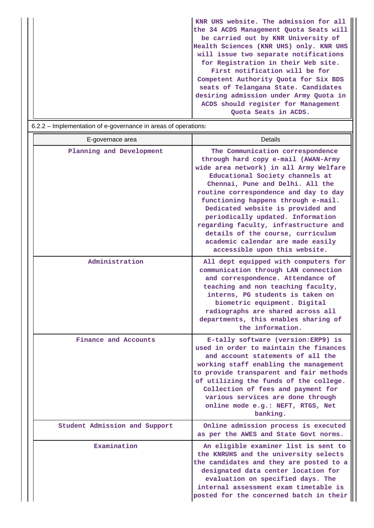|                                                                        | KNR UHS website. The admission for all  |
|------------------------------------------------------------------------|-----------------------------------------|
|                                                                        | the 34 ACDS Management Quota Seats will |
|                                                                        | be carried out by KNR University of     |
|                                                                        | Health Sciences (KNR UHS) only. KNR UHS |
|                                                                        | will issue two separate notifications   |
|                                                                        | for Registration in their Web site.     |
|                                                                        | First notification will be for          |
|                                                                        | Competent Authority Quota for Six BDS   |
|                                                                        | seats of Telangana State. Candidates    |
|                                                                        | desiring admission under Army Quota in  |
|                                                                        | ACDS should register for Management     |
|                                                                        | Quota Seats in ACDS.                    |
| Implementation of a governance in arose of eperations:<br><b>ດ າ າ</b> |                                         |

| 6.2.2 – implementation of e-governance in areas of operations: |                                                                                                                                                                                                                                                                                                                                                                                                                                                                                                        |
|----------------------------------------------------------------|--------------------------------------------------------------------------------------------------------------------------------------------------------------------------------------------------------------------------------------------------------------------------------------------------------------------------------------------------------------------------------------------------------------------------------------------------------------------------------------------------------|
| E-governace area                                               | Details                                                                                                                                                                                                                                                                                                                                                                                                                                                                                                |
| Planning and Development                                       | The Communication correspondence<br>through hard copy e-mail (AWAN-Army<br>wide area network) in all Army Welfare<br>Educational Society channels at<br>Chennai, Pune and Delhi. All the<br>routine correspondence and day to day<br>functioning happens through e-mail.<br>Dedicated website is provided and<br>periodically updated. Information<br>regarding faculty, infrastructure and<br>details of the course, curriculum<br>academic calendar are made easily<br>accessible upon this website. |
| Administration                                                 | All dept equipped with computers for<br>communication through LAN connection<br>and correspondence. Attendance of<br>teaching and non teaching faculty,<br>interns, PG students is taken on<br>biometric equipment. Digital<br>radiographs are shared across all<br>departments, this enables sharing of<br>the information.                                                                                                                                                                           |
| Finance and Accounts                                           | E-tally software (version: ERP9) is<br>used in order to maintain the finances<br>and account statements of all the<br>working staff enabling the management<br>to provide transparent and fair methods<br>of utilizing the funds of the college.<br>Collection of fees and payment for<br>various services are done through<br>online mode e.g.: NEFT, RTGS, Net<br>banking.                                                                                                                           |
| Student Admission and Support                                  | Online admission process is executed<br>as per the AWES and State Govt norms.                                                                                                                                                                                                                                                                                                                                                                                                                          |
| Examination                                                    | An eligible examiner list is sent to<br>the KNRUHS and the university selects<br>the candidates and they are posted to a<br>designated data center location for<br>evaluation on specified days. The<br>internal assessment exam timetable is<br>posted for the concerned batch in their                                                                                                                                                                                                               |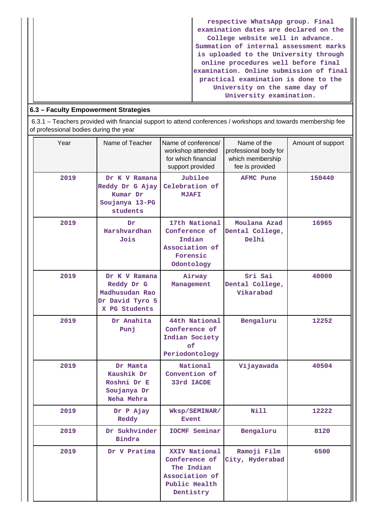| respective WhatsApp group. Final        |
|-----------------------------------------|
| examination dates are declared on the   |
| College website well in advance.        |
| Summation of internal assessment marks  |
| is uploaded to the University through   |
| online procedures well before final     |
| examination. Online submission of final |
| practical examination is done to the    |
| University on the same day of           |
| University examination.                 |

## **6.3 – Faculty Empowerment Strategies**

 6.3.1 – Teachers provided with financial support to attend conferences / workshops and towards membership fee of professional bodies during the year

| Year | Name of Teacher                                                                   | Name of conference/<br>workshop attended<br>for which financial<br>support provided          | Name of the<br>professional body for<br>which membership<br>fee is provided | Amount of support |
|------|-----------------------------------------------------------------------------------|----------------------------------------------------------------------------------------------|-----------------------------------------------------------------------------|-------------------|
| 2019 | Dr K V Ramana<br>Reddy Dr G Ajay<br>Kumar Dr<br>Soujanya 13-PG<br>students        | Jubilee<br>Celebration of<br><b>MJAFI</b>                                                    | <b>AFMC Pune</b>                                                            | 150440            |
| 2019 | Dr<br>Harshvardhan<br>Jois                                                        | 17th National<br>Conference of<br>Indian<br>Association of<br>Forensic<br>Odontology         | Moulana Azad<br>Dental College,<br>Delhi                                    | 16965             |
| 2019 | Dr K V Ramana<br>Reddy Dr G<br>Madhusudan Rao<br>Dr David Tyro 5<br>X PG Students | Airway<br>Management                                                                         | Sri Sai<br>Dental College,<br>Vikarabad                                     | 40000             |
| 2019 | Dr Anahita<br>Punj                                                                | 44th National<br>Conference of<br>Indian Society<br>of<br>Periodontology                     | Bengaluru                                                                   | 12252             |
| 2019 | Dr Mamta<br>Kaushik Dr<br>Roshni Dr E<br>Soujanya Dr<br>Neha Mehra                | National<br>Convention of<br>33rd IACDE                                                      | Vijayawada                                                                  | 40504             |
| 2019 | Dr P Ajay<br>Reddy                                                                | Wksp/SEMINAR/<br><b>Event</b>                                                                | Nill                                                                        | 12222             |
| 2019 | Dr Sukhvinder<br>Bindra                                                           | <b>IOCMF Seminar</b>                                                                         | Bengaluru                                                                   | 8120              |
| 2019 | Dr V Pratima                                                                      | XXIV National<br>Conference of<br>The Indian<br>Association of<br>Public Health<br>Dentistry | Ramoji Film<br>City, Hyderabad                                              | 6500              |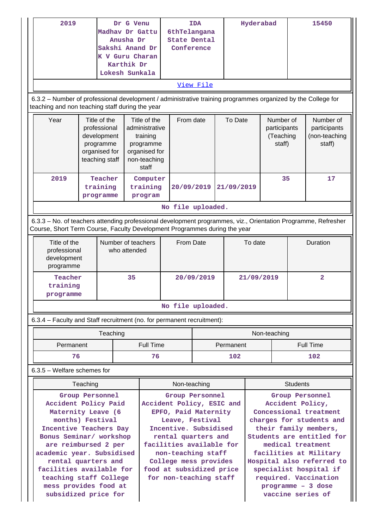| 2019<br>Year                                                                                                                                                                                                                                                                                                              | Dr G Venu<br>Madhav Dr Gattu<br>Anusha Dr<br>Sakshi Anand Dr<br>K V Guru Charan<br>Karthik Dr<br>Lokesh Sunkala<br>6.3.2 - Number of professional development / administrative training programmes organized by the College for<br>teaching and non teaching staff during the year<br>Title of the<br>professional<br>development<br>programme<br>organised for<br>teaching staff |          | Title of the<br>training<br>programme                                                                                                                                                                                                                                    | <b>TDA</b><br>6thTelangana<br><b>State Dental</b><br>Conference<br>View File<br>From date<br>administrative<br>organised for<br>non-teaching |                                                                                                                                                                                                                                                                                                                             | To Date    | Hyderabad<br>Number of<br>participants<br>(Teaching<br>staff) |                 |          | 15450<br>Number of<br>participants<br>(non-teaching<br>staff) |  |
|---------------------------------------------------------------------------------------------------------------------------------------------------------------------------------------------------------------------------------------------------------------------------------------------------------------------------|-----------------------------------------------------------------------------------------------------------------------------------------------------------------------------------------------------------------------------------------------------------------------------------------------------------------------------------------------------------------------------------|----------|--------------------------------------------------------------------------------------------------------------------------------------------------------------------------------------------------------------------------------------------------------------------------|----------------------------------------------------------------------------------------------------------------------------------------------|-----------------------------------------------------------------------------------------------------------------------------------------------------------------------------------------------------------------------------------------------------------------------------------------------------------------------------|------------|---------------------------------------------------------------|-----------------|----------|---------------------------------------------------------------|--|
| 2019                                                                                                                                                                                                                                                                                                                      | Teacher<br>training<br>programme                                                                                                                                                                                                                                                                                                                                                  |          | staff<br>Computer<br>training<br>program                                                                                                                                                                                                                                 | 20/09/2019                                                                                                                                   |                                                                                                                                                                                                                                                                                                                             | 21/09/2019 |                                                               | 35              |          | 17                                                            |  |
|                                                                                                                                                                                                                                                                                                                           |                                                                                                                                                                                                                                                                                                                                                                                   |          |                                                                                                                                                                                                                                                                          | No file uploaded.                                                                                                                            |                                                                                                                                                                                                                                                                                                                             |            |                                                               |                 |          |                                                               |  |
|                                                                                                                                                                                                                                                                                                                           | 6.3.3 - No. of teachers attending professional development programmes, viz., Orientation Programme, Refresher<br>Course, Short Term Course, Faculty Development Programmes during the year                                                                                                                                                                                        |          |                                                                                                                                                                                                                                                                          |                                                                                                                                              |                                                                                                                                                                                                                                                                                                                             |            |                                                               |                 |          |                                                               |  |
| programme                                                                                                                                                                                                                                                                                                                 | Title of the<br>Number of teachers<br>professional<br>who attended<br>development                                                                                                                                                                                                                                                                                                 |          | From Date                                                                                                                                                                                                                                                                |                                                                                                                                              |                                                                                                                                                                                                                                                                                                                             | To date    |                                                               |                 | Duration |                                                               |  |
| Teacher<br>training<br>programme                                                                                                                                                                                                                                                                                          |                                                                                                                                                                                                                                                                                                                                                                                   | 35       |                                                                                                                                                                                                                                                                          |                                                                                                                                              | 20/09/2019                                                                                                                                                                                                                                                                                                                  |            | 21/09/2019                                                    |                 |          | $\overline{2}$                                                |  |
|                                                                                                                                                                                                                                                                                                                           |                                                                                                                                                                                                                                                                                                                                                                                   |          |                                                                                                                                                                                                                                                                          | No file uploaded.                                                                                                                            |                                                                                                                                                                                                                                                                                                                             |            |                                                               |                 |          |                                                               |  |
| 6.3.4 - Faculty and Staff recruitment (no. for permanent recruitment):                                                                                                                                                                                                                                                    |                                                                                                                                                                                                                                                                                                                                                                                   |          |                                                                                                                                                                                                                                                                          |                                                                                                                                              |                                                                                                                                                                                                                                                                                                                             |            |                                                               |                 |          |                                                               |  |
|                                                                                                                                                                                                                                                                                                                           |                                                                                                                                                                                                                                                                                                                                                                                   | Teaching |                                                                                                                                                                                                                                                                          |                                                                                                                                              |                                                                                                                                                                                                                                                                                                                             |            |                                                               | Non-teaching    |          |                                                               |  |
| Permanent                                                                                                                                                                                                                                                                                                                 |                                                                                                                                                                                                                                                                                                                                                                                   |          | <b>Full Time</b>                                                                                                                                                                                                                                                         |                                                                                                                                              |                                                                                                                                                                                                                                                                                                                             | Permanent  |                                                               |                 |          | <b>Full Time</b>                                              |  |
| 76                                                                                                                                                                                                                                                                                                                        |                                                                                                                                                                                                                                                                                                                                                                                   |          | 76                                                                                                                                                                                                                                                                       |                                                                                                                                              |                                                                                                                                                                                                                                                                                                                             | 102        |                                                               |                 | 102      |                                                               |  |
| $6.3.5$ – Welfare schemes for                                                                                                                                                                                                                                                                                             |                                                                                                                                                                                                                                                                                                                                                                                   |          |                                                                                                                                                                                                                                                                          |                                                                                                                                              |                                                                                                                                                                                                                                                                                                                             |            |                                                               |                 |          |                                                               |  |
|                                                                                                                                                                                                                                                                                                                           | Teaching                                                                                                                                                                                                                                                                                                                                                                          |          |                                                                                                                                                                                                                                                                          | Non-teaching                                                                                                                                 |                                                                                                                                                                                                                                                                                                                             |            |                                                               | <b>Students</b> |          |                                                               |  |
| Group Personnel<br>Accident Policy Paid<br>Maternity Leave (6<br>months) Festival<br>Incentive Teachers Day<br>Bonus Seminar/ workshop<br>are reimbursed 2 per<br>academic year. Subsidised<br>rental quarters and<br>facilities available for<br>teaching staff College<br>mess provides food at<br>subsidized price for |                                                                                                                                                                                                                                                                                                                                                                                   |          | Group Personnel<br>Accident Policy, ESIC and<br>EPFO, Paid Maternity<br>Leave, Festival<br>Incentive. Subsidised<br>rental quarters and<br>facilities available for<br>non-teaching staff<br>College mess provides<br>food at subsidized price<br>for non-teaching staff |                                                                                                                                              | Group Personnel<br>Accident Policy,<br>Concessional treatment<br>charges for students and<br>their family members,<br>Students are entitled for<br>medical treatment<br>facilities at Military<br>Hospital also referred to<br>specialist hospital if<br>required. Vaccination<br>$programme - 3 dose$<br>vaccine series of |            |                                                               |                 |          |                                                               |  |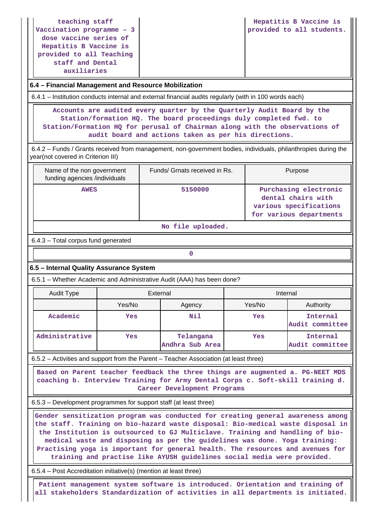**teaching staff Vaccination programme – 3 dose vaccine series of Hepatitis B Vaccine is provided to all Teaching staff and Dental auxiliaries**

### **6.4 – Financial Management and Resource Mobilization**

6.4.1 – Institution conducts internal and external financial audits regularly (with in 100 words each)

 **Accounts are audited every quarter by the Quarterly Audit Board by the Station/formation HQ. The board proceedings duly completed fwd. to Station/Formation HQ for perusal of Chairman along with the observations of audit board and actions taken as per his directions.**

 6.4.2 – Funds / Grants received from management, non-government bodies, individuals, philanthropies during the year(not covered in Criterion III)

| Name of the non government<br>funding agencies /individuals | Funds/ Grnats received in Rs. | Purpose                                                                                          |
|-------------------------------------------------------------|-------------------------------|--------------------------------------------------------------------------------------------------|
| <b>AWES</b>                                                 | 5150000                       | Purchasing electronic<br>dental chairs with<br>various specifications<br>for various departments |

#### **No file uploaded.**

#### 6.4.3 – Total corpus fund generated

## **0**

### **6.5 – Internal Quality Assurance System**

6.5.1 – Whether Academic and Administrative Audit (AAA) has been done?

| Audit Type     | External |                              | Internal |                             |
|----------------|----------|------------------------------|----------|-----------------------------|
|                | Yes/No   | Agency                       | Yes/No   | Authority                   |
| Academic       | Yes      | Nil                          | Yes      | Internal<br>Audit committee |
| Administrative | Yes      | Telangana<br>Andhra Sub Area | Yes      | Internal<br>Audit committee |

6.5.2 – Activities and support from the Parent – Teacher Association (at least three)

 **Based on Parent teacher feedback the three things are augmented a. PG-NEET MDS coaching b. Interview Training for Army Dental Corps c. Soft-skill training d. Career Development Programs**

6.5.3 – Development programmes for support staff (at least three)

 **Gender sensitization program was conducted for creating general awareness among the staff. Training on bio-hazard waste disposal: Bio-medical waste disposal in the Institution is outsourced to GJ Multiclave. Training and handling of biomedical waste and disposing as per the guidelines was done. Yoga training: Practising yoga is important for general health. The resources and avenues for training and practise like AYUSH guidelines social media were provided.**

6.5.4 – Post Accreditation initiative(s) (mention at least three)

 **Patient management system software is introduced. Orientation and training of all stakeholders Standardization of activities in all departments is initiated.**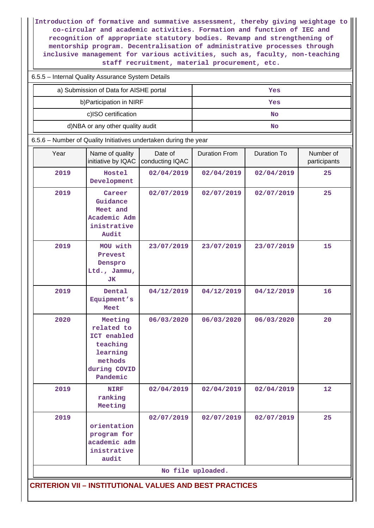**Introduction of formative and summative assessment, thereby giving weightage to co-circular and academic activities. Formation and function of IEC and recognition of appropriate statutory bodies. Revamp and strengthening of mentorship program. Decentralisation of administrative processes through inclusive management for various activities, such as, faculty, non-teaching staff recruitment, material procurement, etc.**

| 6.5.5 - Internal Quality Assurance System Details                |                                                                                                     |                            |                      |                    |                           |  |  |
|------------------------------------------------------------------|-----------------------------------------------------------------------------------------------------|----------------------------|----------------------|--------------------|---------------------------|--|--|
|                                                                  | a) Submission of Data for AISHE portal                                                              |                            | Yes                  |                    |                           |  |  |
|                                                                  | b) Participation in NIRF                                                                            |                            | Yes                  |                    |                           |  |  |
|                                                                  | c)ISO certification                                                                                 |                            |                      | <b>No</b>          |                           |  |  |
|                                                                  | d)NBA or any other quality audit                                                                    |                            |                      | <b>No</b>          |                           |  |  |
| 6.5.6 - Number of Quality Initiatives undertaken during the year |                                                                                                     |                            |                      |                    |                           |  |  |
| Year                                                             | Name of quality<br>initiative by IQAC                                                               | Date of<br>conducting IQAC | <b>Duration From</b> | <b>Duration To</b> | Number of<br>participants |  |  |
| 2019                                                             | Hostel<br>Development                                                                               | 02/04/2019                 | 02/04/2019           | 02/04/2019         | 25                        |  |  |
| 2019                                                             | Career<br>Guidance<br>Meet and<br>Academic Adm<br>inistrative<br>Audit                              | 02/07/2019                 | 02/07/2019           | 02/07/2019         | 25                        |  |  |
| 2019                                                             | MOU with<br>Prevest<br>Denspro<br>Ltd., Jammu,<br>JК                                                | 23/07/2019                 | 23/07/2019           | 23/07/2019         | 15                        |  |  |
| 2019                                                             | Dental<br>Equipment's<br>Meet                                                                       | 04/12/2019                 | 04/12/2019           | 04/12/2019         | 16                        |  |  |
| 2020                                                             | Meeting<br>related to<br>ICT enabled<br>teaching<br>learning<br>methods<br>during COVID<br>Pandemic | 06/03/2020                 | 06/03/2020           | 06/03/2020         | 20                        |  |  |
| 2019                                                             | <b>NIRF</b><br>ranking<br>Meeting                                                                   | 02/04/2019                 | 02/04/2019           | 02/04/2019         | 12                        |  |  |
| 2019                                                             | orientation<br>program for<br>academic adm<br>inistrative<br>audit                                  | 02/07/2019                 | 02/07/2019           | 02/07/2019         | 25                        |  |  |
|                                                                  |                                                                                                     |                            | No file uploaded.    |                    |                           |  |  |
| <b>CRITERION VII - INSTITUTIONAL VALUES AND BEST PRACTICES</b>   |                                                                                                     |                            |                      |                    |                           |  |  |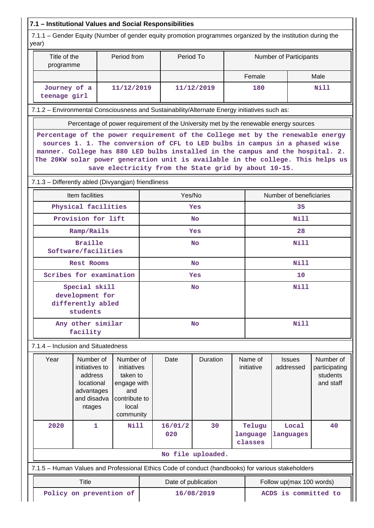|                                                                                                                      | 7.1 - Institutional Values and Social Responsibilities                                                                                                                                                                                                                                                                                                                                     |                                |                                                                                                   |                      |                     |                   |                               |                            |                                                     |      |  |
|----------------------------------------------------------------------------------------------------------------------|--------------------------------------------------------------------------------------------------------------------------------------------------------------------------------------------------------------------------------------------------------------------------------------------------------------------------------------------------------------------------------------------|--------------------------------|---------------------------------------------------------------------------------------------------|----------------------|---------------------|-------------------|-------------------------------|----------------------------|-----------------------------------------------------|------|--|
| 7.1.1 – Gender Equity (Number of gender equity promotion programmes organized by the institution during the<br>year) |                                                                                                                                                                                                                                                                                                                                                                                            |                                |                                                                                                   |                      |                     |                   |                               |                            |                                                     |      |  |
| Title of the<br>programme                                                                                            |                                                                                                                                                                                                                                                                                                                                                                                            |                                | Period from                                                                                       |                      | Period To           |                   |                               |                            | Number of Participants                              |      |  |
|                                                                                                                      |                                                                                                                                                                                                                                                                                                                                                                                            |                                |                                                                                                   |                      |                     |                   |                               | Female                     |                                                     | Male |  |
| Journey of a<br>teenage girl                                                                                         |                                                                                                                                                                                                                                                                                                                                                                                            |                                | 11/12/2019                                                                                        |                      |                     | 11/12/2019        |                               | 180                        |                                                     | Nill |  |
| 7.1.2 - Environmental Consciousness and Sustainability/Alternate Energy initiatives such as:                         |                                                                                                                                                                                                                                                                                                                                                                                            |                                |                                                                                                   |                      |                     |                   |                               |                            |                                                     |      |  |
|                                                                                                                      | Percentage of power requirement of the University met by the renewable energy sources                                                                                                                                                                                                                                                                                                      |                                |                                                                                                   |                      |                     |                   |                               |                            |                                                     |      |  |
|                                                                                                                      | Percentage of the power requirement of the College met by the renewable energy<br>sources 1. 1. The conversion of CFL to LED bulbs in campus in a phased wise<br>manner. College has 880 LED bulbs installed in the campus and the hospital. 2.<br>The 20KW solar power generation unit is available in the college. This helps us<br>save electricity from the State grid by about 10-15. |                                |                                                                                                   |                      |                     |                   |                               |                            |                                                     |      |  |
| 7.1.3 - Differently abled (Divyangjan) friendliness                                                                  |                                                                                                                                                                                                                                                                                                                                                                                            |                                |                                                                                                   |                      |                     |                   |                               |                            |                                                     |      |  |
|                                                                                                                      | Item facilities                                                                                                                                                                                                                                                                                                                                                                            |                                |                                                                                                   |                      | Yes/No              |                   |                               |                            | Number of beneficiaries                             |      |  |
|                                                                                                                      | Physical facilities                                                                                                                                                                                                                                                                                                                                                                        |                                |                                                                                                   |                      |                     | Yes               |                               |                            | 35                                                  |      |  |
|                                                                                                                      | Provision for lift                                                                                                                                                                                                                                                                                                                                                                         |                                |                                                                                                   |                      |                     | <b>No</b>         |                               | <b>Nill</b>                |                                                     |      |  |
|                                                                                                                      | Ramp/Rails                                                                                                                                                                                                                                                                                                                                                                                 |                                |                                                                                                   |                      |                     | Yes               |                               | 28                         |                                                     |      |  |
| Software/facilities                                                                                                  | <b>Braille</b>                                                                                                                                                                                                                                                                                                                                                                             |                                |                                                                                                   | <b>No</b>            |                     |                   |                               |                            | Nill                                                |      |  |
|                                                                                                                      |                                                                                                                                                                                                                                                                                                                                                                                            | <b>Rest Rooms</b><br><b>No</b> |                                                                                                   |                      |                     |                   |                               | <b>Nill</b>                |                                                     |      |  |
| Scribes for examination                                                                                              |                                                                                                                                                                                                                                                                                                                                                                                            |                                |                                                                                                   |                      |                     | Yes               |                               |                            | 10                                                  |      |  |
|                                                                                                                      | Special skill<br>development for<br>differently abled<br>students                                                                                                                                                                                                                                                                                                                          |                                |                                                                                                   |                      |                     | No                |                               |                            | <b>Nill</b>                                         |      |  |
|                                                                                                                      | Any other similar<br>facility                                                                                                                                                                                                                                                                                                                                                              |                                |                                                                                                   |                      |                     | <b>No</b>         |                               |                            | <b>Nill</b>                                         |      |  |
| 7.1.4 – Inclusion and Situatedness                                                                                   |                                                                                                                                                                                                                                                                                                                                                                                            |                                |                                                                                                   |                      |                     |                   |                               |                            |                                                     |      |  |
| Year                                                                                                                 | Number of<br>initiatives to<br>address<br>locational<br>advantages<br>and disadva<br>ntages                                                                                                                                                                                                                                                                                                |                                | Number of<br>initiatives<br>taken to<br>engage with<br>and<br>contribute to<br>local<br>community |                      | Duration<br>Date    |                   | Name of<br>initiative         | <b>Issues</b><br>addressed | Number of<br>participating<br>students<br>and staff |      |  |
| 2020                                                                                                                 | 1                                                                                                                                                                                                                                                                                                                                                                                          |                                | <b>Nill</b>                                                                                       | 16/01/2<br>30<br>020 |                     |                   | Telugu<br>language<br>classes | Local<br>languages         | 40                                                  |      |  |
|                                                                                                                      |                                                                                                                                                                                                                                                                                                                                                                                            |                                |                                                                                                   |                      |                     | No file uploaded. |                               |                            |                                                     |      |  |
| 7.1.5 - Human Values and Professional Ethics Code of conduct (handbooks) for various stakeholders                    |                                                                                                                                                                                                                                                                                                                                                                                            |                                |                                                                                                   |                      |                     |                   |                               |                            |                                                     |      |  |
|                                                                                                                      | <b>Title</b>                                                                                                                                                                                                                                                                                                                                                                               |                                |                                                                                                   |                      | Date of publication |                   |                               |                            | Follow up(max 100 words)                            |      |  |
| ACDS is committed to<br>Policy on prevention of<br>16/08/2019                                                        |                                                                                                                                                                                                                                                                                                                                                                                            |                                |                                                                                                   |                      |                     |                   |                               |                            |                                                     |      |  |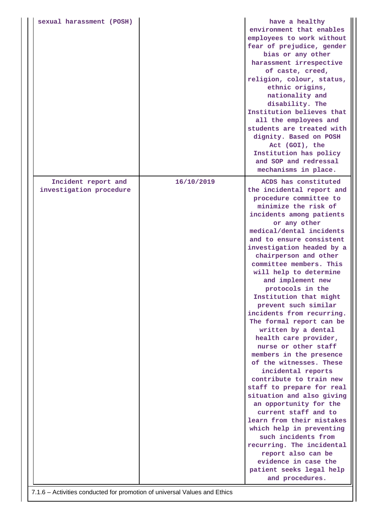| sexual harassment (POSH)                       |            | have a healthy<br>environment that enables<br>employees to work without<br>fear of prejudice, gender<br>bias or any other<br>harassment irrespective<br>of caste, creed,<br>religion, colour, status,<br>ethnic origins,<br>nationality and<br>disability. The<br>Institution believes that<br>all the employees and<br>students are treated with<br>dignity. Based on POSH<br>Act (GOI), the<br>Institution has policy<br>and SOP and redressal<br>mechanisms in place.                                                                                                                                                                                                                                                                                                                                                                                                                                               |
|------------------------------------------------|------------|------------------------------------------------------------------------------------------------------------------------------------------------------------------------------------------------------------------------------------------------------------------------------------------------------------------------------------------------------------------------------------------------------------------------------------------------------------------------------------------------------------------------------------------------------------------------------------------------------------------------------------------------------------------------------------------------------------------------------------------------------------------------------------------------------------------------------------------------------------------------------------------------------------------------|
| Incident report and<br>investigation procedure | 16/10/2019 | ACDS has constituted<br>the incidental report and                                                                                                                                                                                                                                                                                                                                                                                                                                                                                                                                                                                                                                                                                                                                                                                                                                                                      |
|                                                |            | procedure committee to<br>minimize the risk of<br>incidents among patients<br>or any other<br>medical/dental incidents<br>and to ensure consistent<br>investigation headed by a<br>chairperson and other<br>committee members. This<br>will help to determine<br>and implement new<br>protocols in the<br>Institution that might<br>prevent such similar<br>incidents from recurring.<br>The formal report can be<br>written by a dental<br>health care provider,<br>nurse or other staff<br>members in the presence<br>of the witnesses. These<br>incidental reports<br>contribute to train new<br>staff to prepare for real<br>situation and also giving<br>an opportunity for the<br>current staff and to<br>learn from their mistakes<br>which help in preventing<br>such incidents from<br>recurring. The incidental<br>report also can be<br>evidence in case the<br>patient seeks legal help<br>and procedures. |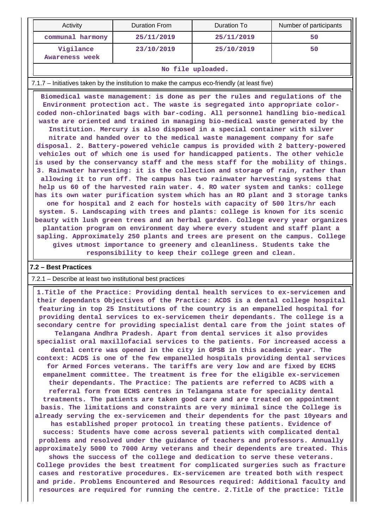| Activity                    | Duration From | Duration To | Number of participants |  |  |  |
|-----------------------------|---------------|-------------|------------------------|--|--|--|
| communal harmony            | 25/11/2019    | 25/11/2019  | 50                     |  |  |  |
| Vigilance<br>Awareness week | 23/10/2019    | 25/10/2019  | 50                     |  |  |  |
| No file uploaded.           |               |             |                        |  |  |  |

#### 7.1.7 – Initiatives taken by the institution to make the campus eco-friendly (at least five)

 **Biomedical waste management: is done as per the rules and regulations of the Environment protection act. The waste is segregated into appropriate colorcoded non-chlorinated bags with bar-coding. All personnel handling bio-medical waste are oriented and trained in managing bio-medical waste generated by the Institution. Mercury is also disposed in a special container with silver nitrate and handed over to the medical waste management company for safe disposal. 2. Battery-powered vehicle campus is provided with 2 battery-powered vehicles out of which one is used for handicapped patients. The other vehicle is used by the conservancy staff and the mess staff for the mobility of things. 3. Rainwater harvesting: it is the collection and storage of rain, rather than allowing it to run off. The campus has two rainwater harvesting systems that help us 60 of the harvested rain water. 4. RO water system and tanks: college has its own water purification system which has an RO plant and 3 storage tanks one for hospital and 2 each for hostels with capacity of 500 ltrs/hr each system. 5. Landscaping with trees and plants: college is known for its scenic beauty with lush green trees and an herbal garden. College every year organizes plantation program on environment day where every student and staff plant a sapling. Approximately 250 plants and trees are present on the campus. College gives utmost importance to greenery and cleanliness. Students take the responsibility to keep their college green and clean.**

#### **7.2 – Best Practices**

#### 7.2.1 – Describe at least two institutional best practices

 **1.Title of the Practice: Providing dental health services to ex-servicemen and their dependants Objectives of the Practice: ACDS is a dental college hospital featuring in top 25 Institutions of the country is an empanelled hospital for providing dental services to ex-servicemen their dependants. The college is a secondary centre for providing specialist dental care from the joint states of Telangana Andhra Pradesh. Apart from dental services it also provides specialist oral maxillofacial services to the patients. For increased access a dental centre was opened in the city in GPSB in this academic year. The context: ACDS is one of the few empanelled hospitals providing dental services for Armed Forces veterans. The tariffs are very low and are fixed by ECHS empanelment committee. The treatment is free for the eligible ex-servicemen their dependants. The Practice: The patients are referred to ACDS with a referral form from ECHS centres in Telangana state for speciality dental treatments. The patients are taken good care and are treated on appointment basis. The limitations and constraints are very minimal since the College is already serving the ex-servicemen and their dependents for the past 10years and has established proper protocol in treating these patients. Evidence of success: Students have come across several patients with complicated dental problems and resolved under the guidance of teachers and professors. Annually approximately 5000 to 7000 Army veterans and their dependents are treated. This shows the success of the college and dedication to serve these veterans. College provides the best treatment for complicated surgeries such as fracture cases and restorative procedures. Ex-servicemen are treated both with respect and pride. Problems Encountered and Resources required: Additional faculty and**

**resources are required for running the centre. 2.Title of the practice: Title**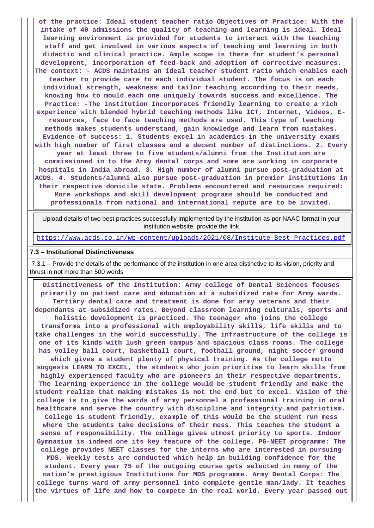**of the practice: Ideal student teacher ratio Objectives of Practice: With the intake of 40 admissions the quality of teaching and learning is ideal. Ideal learning environment is provided for students to interact with the teaching staff and get involved in various aspects of teaching and learning in both didactic and clinical practice. Ample scope is there for student's personal development, incorporation of feed-back and adoption of corrective measures. The context: - ACDS maintains an ideal teacher student ratio which enables each teacher to provide care to each individual student. The focus is on each individual strength, weakness and tailor teaching according to their needs, knowing how to mould each one uniquely towards success and excellence. The Practice: -The Institution Incorporates friendly learning to create a rich experience with blended hybrid teaching methods like ICT, Internet, Videos, Eresources, face to face teaching methods are used. This type of teaching methods makes students understand, gain knowledge and learn from mistakes. Evidence of success: 1. Students excel in academics in the university exams with high number of first classes and a decent number of distinctions. 2. Every year at least three to five students/alumni from the Institution are commissioned in to the Army dental corps and some are working in corporate hospitals in India abroad. 3. High number of alumni pursue post-graduation at ACDS. 4. Students/alumni also pursue post-graduation in premier Institutions in their respective domicile state. Problems encountered and resources required: More workshops and skill development programs should be conducted and professionals from national and international repute are to be invited.**

 Upload details of two best practices successfully implemented by the institution as per NAAC format in your institution website, provide the link

<https://www.acds.co.in/wp-content/uploads/2021/08/Institute-Best-Practices.pdf>

#### **7.3 – Institutional Distinctiveness**

 7.3.1 – Provide the details of the performance of the institution in one area distinctive to its vision, priority and thrust in not more than 500 words

 **Distinctiveness of the Institution: Army college of Dental Sciences focuses primarily on patient care and education at a subsidized rate for Army wards. Tertiary dental care and treatment is done for army veterans and their dependants at subsidized rates. Beyond classroom learning culturals, sports and holistic development is practiced. The teenager who joins the college transforms into a professional with employability skills, life skills and to take challenges in the world successfully. The infrastructure of the college is one of its kinds with lush green campus and spacious class rooms. The college has volley ball court, basketball court, football ground, night soccer ground which gives a student plenty of physical training. As the college motto suggests LEARN TO EXCEL, the students who join prioritise to learn skills from highly experienced faculty who are pioneers in their respective departments. The learning experience in the college would be student friendly and make the student realize that making mistakes is not the end but to excel. Vision of the college is to give the wards of army personnel a professional training in oral healthcare and serve the country with discipline and integrity and patriotism. College is student friendly, example of this would be the student run mess where the students take decisions of their mess. This teaches the student a sense of responsibility. The college gives utmost priority to sports. Indoor Gymnasium is indeed one its key feature of the college. PG-NEET programme: The college provides NEET classes for the interns who are interested in pursuing MDS. Weekly tests are conducted which help in building confidence for the student. Every year 75 of the outgoing course gets selected in many of the nation's prestigious Institutions for MDS programme. Army Dental Corps: The college turns ward of army personnel into complete gentle man/lady. It teaches the virtues of life and how to compete in the real world. Every year passed out**